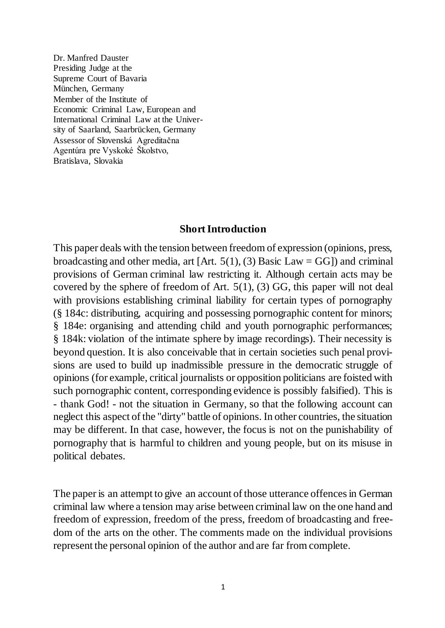Dr. Manfred Dauster Presiding Judge at the Supreme Court of Bavaria München, Germany Member of the Institute of Economic Criminal Law, European and International Criminal Law at the University of Saarland, Saarbrücken, Germany Assessor of Slovenská Agreditačna Agentúra pre Vyskoké Školstvo, Bratislava, Slovakia

#### **Short Introduction**

This paper deals with the tension between freedom of expression (opinions, press, broadcasting and other media, art  $[Art. 5(1), (3)$  Basic Law = GG $]$ ) and criminal provisions of German criminal law restricting it. Although certain acts may be covered by the sphere of freedom of Art. 5(1), (3) GG, this paper will not deal with provisions establishing criminal liability for certain types of pornography (§ 184c: distributing, acquiring and possessing pornographic content for minors; § 184e: organising and attending child and youth pornographic performances; § 184k: violation of the intimate sphere by image recordings). Their necessity is beyond question. It is also conceivable that in certain societies such penal provisions are used to build up inadmissible pressure in the democratic struggle of opinions (for example, critical journalists or opposition politicians are foisted with such pornographic content, corresponding evidence is possibly falsified). This is - thank God! - not the situation in Germany, so that the following account can neglect this aspect of the "dirty" battle of opinions. In other countries, the situation may be different. In that case, however, the focus is not on the punishability of pornography that is harmful to children and young people, but on its misuse in political debates.

The paper is an attempt to give an account of those utterance offences in German criminal law where a tension may arise between criminal law on the one hand and freedom of expression, freedom of the press, freedom of broadcasting and freedom of the arts on the other. The comments made on the individual provisions represent the personal opinion of the author and are far from complete.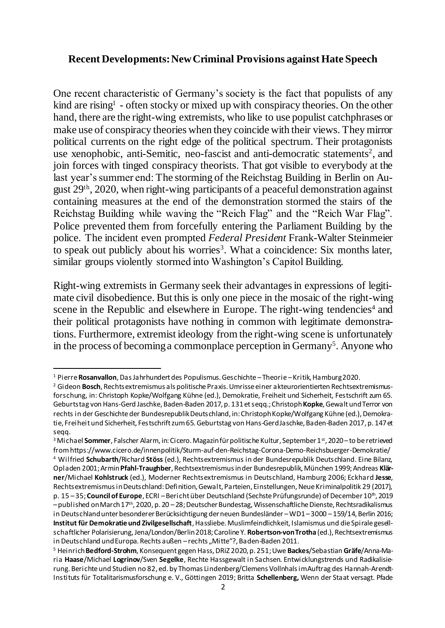## **Recent Developments: New Criminal Provisions against Hate Speech**

One recent characteristic of Germany's society is the fact that populists of any kind are rising<sup>1</sup> - often stocky or mixed up with conspiracy theories. On the other hand, there are the right-wing extremists, who like to use populist catchphrases or make use of conspiracy theories when they coincide with their views. They mirror political currents on the right edge of the political spectrum. Their protagonists use xenophobic, anti-Semitic, neo-fascist and anti-democratic statements<sup>2</sup>, and join forces with tinged conspiracy theorists. That got visible to everybody at the last year's summer end: The storming of the Reichstag Building in Berlin on August 29th, 2020, when right-wing participants of a peaceful demonstration against containing measures at the end of the demonstration stormed the stairs of the Reichstag Building while waving the "Reich Flag" and the "Reich War Flag". Police prevented them from forcefully entering the Parliament Building by the police. The incident even prompted *Federal President* Frank-Walter Steinmeier to speak out publicly about his worries<sup>3</sup>. What a coincidence: Six months later, similar groups violently stormed into Washington's Capitol Building.

Right-wing extremists in Germany seek their advantages in expressions of legitimate civil disobedience. But this is only one piece in the mosaic of the right-wing scene in the Republic and elsewhere in Europe. The right-wing tendencies<sup>4</sup> and their political protagonists have nothing in common with legitimate demonstrations. Furthermore, extremist ideology from the right-wing scene is unfortunately in the process of becoming a commonplace perception in Germany<sup>5</sup>. Anyone who

<sup>1</sup> Pierre **Rosanvallon**, Das Jahrhundert des Populismus. Geschichte –Theorie –Kritik, Hamburg 2020.

<sup>2</sup> Gideon **Bosch**, Rechtsextremismus als politische Praxis. Umrisse einer akteurorientierten Rechtsextremismusforschung, in: Christoph Kopke/Wolfgang Kühne (ed.), Demokratie, Freiheit und Sicherheit, Festschrift zum 65. Geburtstag von Hans-Gerd Jaschke, Baden-Baden 2017, p. 131 et seqq.; Christoph **Kopke**, Gewalt und Terror von rechts in der Geschichte der Bundesrepublik Deutschland, in: Christoph Kopke/Wolfgang Kühne (ed.), Demokratie, Freiheit und Sicherheit, Festschrift zum 65. Geburtstag von Hans-Gerd Jaschke, Baden-Baden 2017, p. 147 et seqq.

<sup>&</sup>lt;sup>3</sup> Michael Sommer, Falscher Alarm, in: Cicero. Magazin für politische Kultur, September 1<sup>st</sup>, 2020 – to be retrieved from https://www.cicero.de/innenpolitik/Sturm-auf-den-Reichstag-Corona-Demo-Reichsbuerger-Demokratie/ <sup>4</sup> Wilfried **Schubarth**/Richard **Stöss** (ed.), Rechtsextremismus in der Bundesrepublik Deutschland. Eine Bilanz, Opladen 2001; Armin **Pfahl-Traughber**, Rechtsextremismus in der Bundesrepublik, München 1999; Andreas **Klärner**/Michael **Kohlstruck** (ed.), Moderner Rechtsextremismus in Deutschland, Hamburg 2006; Eckhard **Jesse**, Rechtsextremismus in Deutschland: Definition, Gewalt, Parteien, Einstellungen, Neue Kriminalpolitik 29 (2017), p. 15 – 35; **Council of Europe**, ECRI – Bericht über Deutschland (Sechste Prüfungsrunde) of December 10<sup>th</sup>, 2019 –published on March 17th, 2020, p. 20 –28; Deutscher Bundestag, Wissenschaftliche Dienste, Rechtsradikalismus in Deutschland unter besonderer Berücksichtigung der neuen Bundesländer –WD1 –3000 –159/14, Berlin 2016; **Institut für Demokratieund Zivilgesellschaft**, Hassliebe. Muslimfeindlichkeit, Islamismus und die Spirale gesellschaftlicher Polarisierung, Jena/London/Berlin 2018; Caroline Y. **Robertson-von Trotha** (ed.), Rechtsextremismus in Deutschland und Europa. Rechts außen - rechts "Mitte"?, Baden-Baden 2011.

<sup>5</sup> Heinrich **Bedford-Strohm**, Konsequent gegen Hass, DRiZ 2020, p. 251; Uwe **Backes**/Sebastian **Gräfe**/Anna-Maria **Haase**/Michael **Logrinov**/Sven **Segelke**, Rechte Hassgewalt in Sachsen. Entwicklungstrends und Radikalisierung. Berichte und Studien no 82, ed. by Thomas Lindenberg/Clemens Vollnhals im Auftrag des Hannah-Arendt-Instituts für Totalitarismusforschung e. V., Göttingen 2019; Britta **Schellenberg,** Wenn der Staat versagt. Pfade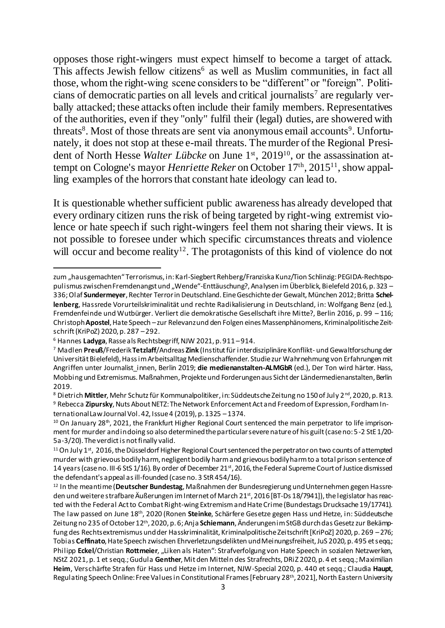opposes those right-wingers must expect himself to become a target of attack. This affects Jewish fellow citizens<sup> $6$ </sup> as well as Muslim communities, in fact all those, whom the right-wing scene considers to be "different" or "foreign". Politicians of democratic parties on all levels and critical journalists<sup>7</sup> are regularly verbally attacked; these attacks often include their family members. Representatives of the authorities, even if they "only" fulfil their (legal) duties, are showered with threats<sup>8</sup>. Most of those threats are sent via anonymous email accounts<sup>9</sup>. Unfortunately, it does not stop at these e-mail threats. The murder of the Regional President of North Hesse *Walter Lübcke* on June 1<sup>st</sup>, 2019<sup>10</sup>, or the assassination attempt on Cologne's mayor *Henriette Reker* on October 17th, 2015<sup>11</sup>, show appalling examples of the horrors that constant hate ideology can lead to.

It is questionable whether sufficient public awareness has already developed that every ordinary citizen runs the risk of being targeted by right-wing extremist violence or hate speech if such right-wingers feel them not sharing their views. It is not possible to foresee under which specific circumstances threats and violence will occur and become reality<sup>12</sup>. The protagonists of this kind of violence do not

<sup>1</sup> zum "hausgemachten" Terrorismus, in: Karl-Siegbert Rehberg/Franziska Kunz/Tion Schlinzig: PEGIDA-Rechtspopulismus zwischen Fremdenangst und "Wende"-Enttäuschung?, Analysen im Überblick, Bielefeld 2016, p. 323 – 336; Olaf **Sundermeyer**, Rechter Terror in Deutschland. Eine Geschichte der Gewalt, München 2012; Britta **Schellenberg**, Hassrede Vorurteilskriminalität und rechte Radikalisierung in Deutschland, in: Wolfgang Benz (ed.), Fremdenfeinde und Wutbürger. Verliert die demokratische Gesellschaft ihre Mitte?, Berlin 2016, p. 99 – 116; Christoph **Apostel**, Hate Speech –zur Relevanz und den Folgen eines Massenphänomens, Kriminalpolitische Zeitschrift (KriPoZ) 2020, p. 287 –292.

<sup>6</sup> Hannes **Ladyga**, Rasse als Rechtsbegriff, NJW 2021, p. 911 –914.

<sup>7</sup> Madlen **Preuß**/Frederik **Tetzlaff**/Andreas **Zink** (Institut für interdisziplinäre Konflikt- und Gewaltforschung der Universität Bielefeld), Hass im Arbeitsalltag Medienschaffender. Studie zur Wahrnehmung von Erfahrungen mit Angriffen unter Journalist innen, Berlin 2019; die medienanstalten-ALMGbR (ed.), Der Ton wird härter. Hass, Mobbing und Extremismus. Maßnahmen, Projekte und Forderungen aus Sicht der Ländermedienanstalten, Berlin 2019.

<sup>&</sup>lt;sup>8</sup> Dietrich Mittler, Mehr Schutz für Kommunalpolitiker, in: Süddeutsche Zeitung no 150 of July 2<sup>nd</sup>, 2020, p. R13. <sup>9</sup> Rebecca **Zipursky**, Nuts About NETZ: The Network Enforcement Act and Freedom of Expression, Fordham International Law Journal Vol. 42, Issue 4 (2019), p. 1325 –1374.

 $10$  On January 28<sup>th</sup>, 2021, the Frankfurt Higher Regional Court sentenced the main perpetrator to life imprisonment for murder and in doing so also determined the particular severe nature of his guilt (case no: 5-2 StE 1/20- 5a-3/20). The verdict is not finally valid.

<sup>&</sup>lt;sup>11</sup> On July 1<sup>st</sup>, 2016, the Düsseldorf Higher Regional Court sentenced the perpetrator on two counts of attempted murder with grievous bodily harm, negligent bodily harm and grievous bodily harm to a total prison sentence of 14 years (case no. III-6 StS 1/16). By order of December 21st, 2016, the Federal Supreme Court of Justice dismissed the defendant's appeal as ill-founded (case no. 3 StR 454/16).

<sup>12</sup> In the meantime (**Deutscher Bundestag**, Maßnahmen der Bundesregierung und Unternehmen gegen Hassreden und weitere strafbare Äußerungen im Internet of March 21<sup>st</sup>, 2016 [BT-Ds 18/7941]), the legislator has reacted with the Federal Act to Combat Right-wing Extremism and Hate Crime (Bundestags Drucksache 19/17741). The law passed on June 18th, 2020 (Ronen **Steinke**, Schärfere Gesetze gegen Hass und Hetze, in: Süddeutsche Zeitung no 235 of October 12th, 2020, p. 6; Anja **Schiemann**, Änderungen im StGB durch das Gesetz zur Bekämpfung des Rechtsextremismus und der Hasskriminalität, Kriminalpolitische Zeitschrift [KriPoZ] 2020, p. 269 –276; Tobias **Ceffinato**, Hate Speech zwischen Ehrverletzungsdelikten und Meinungsfreiheit, JuS 2020, p. 495 et seqq.; Philipp **Eckel**/Christian **Rottmeier**, "Liken als Haten": Strafverfolgung von Hate Speech in sozialen Netzwerken, NStZ 2021, p. 1 et seqq.; Gudula **Genther**, Mit den Mitteln des Strafrechts, DRiZ 2020, p. 4 et seqq.; Maximilian **Heim**, Verschärfte Strafen für Hass und Hetze im Internet, NJW-Special 2020, p. 440 et seqq.; Claudia **Haupt**, Regulating Speech Online: Free Values in Constitutional Frames [February 28<sup>th</sup>, 2021], North Eastern University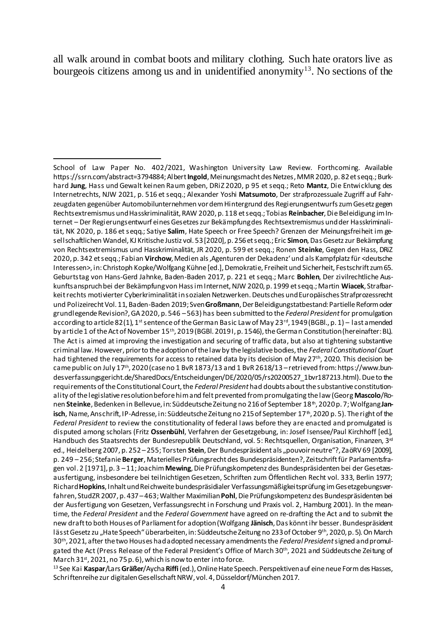all walk around in combat boots and military clothing. Such hate orators live as bourgeois citizens among us and in unidentified anonymity<sup>13</sup>. No sections of the

<sup>13</sup> See Kai **Kaspar**/Lars **Gräßer**/Aycha **Riffi**(ed.), Online Hate Speech. Perspektiven auf eine neue Form des Hasses, Schriftenreihe zur digitalen Gesellschaft NRW, vol. 4, Düsseldorf/München 2017.

<sup>1</sup> School of Law Paper No. 402/2021, Washington University Law Review. Forthcoming. Available <https://ssrn.com/abstract=3794884>; Albert **Ingold**, Meinungsmacht des Netzes, MMR 2020, p. 82 et seqq.; Burkhard **Jung**, Hass und Gewalt keinen Raum geben, DRiZ 2020, p 95 et seqq.; Reto **Mantz**, Die Entwicklung des Internetrechts, NJW 2021, p. 516 et seqq.; Alexander Yoshi **Matsumoto**, Der strafprozessuale Zugriff auf Fahrzeugdaten gegenüber Automobilunternehmen vor dem Hintergrund des Regierungsentwurfs zum Gesetz gegen Rechtsextremismus und Hasskriminalität, RAW 2020, p. 118 et seqq.; Tobias **Reinbacher**, Die Beleidigung im Internet – Der Regierungsentwurf eines Gesetzes zur Bekämpfung des Rechtsextremismus und der Hasskriminalität, NK 2020, p. 186 et seqq.; Satiye **Salim**, Hate Speech or Free Speech? Grenzen der Meinungsfreiheit im gesellschaftlichen Wandel, KJ Kritische Justiz vol. 53 [2020], p. 256 et seqq.; Eric **Simon**, Das Gesetz zur Bekämpfung von Rechtsextremismus und Hasskriminalität, JR 2020, p. 599 et seqq.; Ronen **Steinke**, Gegen den Hass, DRiZ 2020, p. 342 et seqq.; Fabian **Virchow**, Medien als 'Agenturen der Dekadenz' und als Kampfplatz für <deutsche Interessen>, in: Christoph Kopke/Wolfgang Kühne [ed.], Demokratie, Freiheit und Sicherheit, Festschrift zum 65. Geburtstag von Hans-Gerd Jahnke, Baden-Baden 2017, p. 221 et seqq.; Marc **Bohlen**, Der zivilrechtliche Auskunftsanspruch bei der Bekämpfung von Hass im Internet, NJW 2020, p. 1999 et seqq.; Martin **Wiacek**, Strafbarkeit rechts motivierter Cyberkriminalität in sozialen Netzwerken. Deutsches und Europäisches Strafprozessrecht und Polizeirecht Vol. 11, Baden-Baden 2019; Sven **Großmann**, Der Beleidigungstatbestand: Partielle Reform oder grundlegende Revision?, GA 2020, p. 546 –563) has been submitted to the *Federal President*for promulgation according to article 82(1), 1<sup>st</sup> sentence of the German Basic Law of May 23<sup>rd</sup>, 1949 (BGBl., p. 1) – last amended by article 1 of the Act of November 15th, 2019 (BGBl. 2019 I, p. 1546), the German Constitution (hereinafter: BL). The Act is aimed at improving the investigation and securing of traffic data, but also at tightening substantive criminal law. However, prior to the adoption of the law by the legislative bodies, the *Federal Constitutional Court* had tightened the requirements for access to retained data by its decision of May 27<sup>th</sup>, 2020. This decision became public on July 17th, 2020 (case no 1 BvR 1873/13 and 1 BvR 2618/13 –retrieved from: https://www.bundesverfassungsgericht.de/SharedDocs/Entscheidungen/DE/2020/05/rs20200527\_1bvr187213.html). Due to the requirements of the Constitutional Court, the *Federal President* had doubts about the substantive constitutionality of the legislative resolution before him and felt prevented from promulgating the law (Georg **Mascolo**/Ronen Steinke, Bedenken in Bellevue, in: Süddeutsche Zeitung no 216 of September 18<sup>th</sup>, 2020 p. 7; Wolfgang Jan**isch**, Name, Anschrift, IP-Adresse, in: Süddeutsche Zeitung no 215 of September 17<sup>th</sup>, 2020 p. 5). The right of the *Federal President* to review the constitutionality of federal laws before they are enacted and promulgated is disputed among scholars (Fritz **Ossenbühl**, Verfahren der Gesetzgebung, in: Josef Isensee/Paul Kirchhoff [ed.], Handbuch des Staatsrechts der Bundesrepublik Deutschland, vol. 5: Rechtsquellen, Organisation, Finanzen, 3<sup>rd</sup> ed., Heidelberg 2007, p. 252 –255; Torsten **Stein**, Der Bundespräsident als "pouvoir neutre"?, ZaöRV 69 [2009], p. 249 –256; Stefanie **Berger**, Materielles Prüfungsrecht des Bundespräsidenten?, Zeitschrift für Parlamentsfragen vol. 2 [1971], p. 3 –11; Joachim **Mewing**, Die Prüfungskompetenz des Bundespräsidenten bei der Gesetzesausfertigung, insbesondere bei teilnichtigen Gesetzen, Schriften zum Öffentlichen Recht vol. 333, Berlin 1977; Richard **Hopkins**, Inhalt und Reichweite bundespräsidialer Verfassungsmäßigkeitsprüfung im Gesetzgebungsverfahren, StudZR 2007, p. 437 –463; Walther Maximilian **Pohl**, Die Prüfungskompetenz des Bundespräsidenten bei der Ausfertigung von Gesetzen, Verfassungsrecht in Forschung und Praxis vol. 2, Hamburg 2001). In the meantime, the *Federal President* and the *Federal Government* have agreed on re-drafting the Act and to submit the new draft to both Houses of Parliament for adoption (Wolfgang **Jänisch**, Das könnt ihr besser. Bundespräsident lässt Gesetz zu "Hate Speech" überarbeiten, in: Süddeutsche Zeitung no 233 of October 9th, 2020, p. 5). On March 30th , 2021, after the two Houses had adopted necessary amendments the *Federal President*signed and promulgated the Act (Press Release of the Federal President's Office of March 30th, 2021 and Süddeutsche Zeitung of March  $31<sup>st</sup>$ , 2021, no 75 p. 6), which is now to enter into force.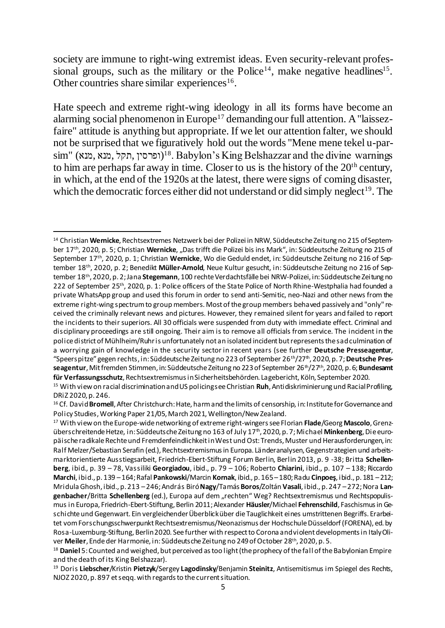society are immune to right-wing extremist ideas. Even security-relevant professional groups, such as the military or the Police<sup>14</sup>, make negative headlines<sup>15</sup>. Other countries share similar experiences<sup>16</sup>.

Hate speech and extreme right-wing ideology in all its forms have become an alarming social phenomenon in Europe<sup>17</sup> demanding our full attention. A "laissezfaire" attitude is anything but appropriate. If we let our attention falter, we should not be surprised that we figuratively hold out the words "Mene mene tekel u-par- $\sin$ " (ופרסין, תקל, מנא), וופרסין)<sup>18</sup>. Babylon's King Belshazzar and the divine warnings to him are perhaps far away in time. Closer to us is the history of the  $20<sup>th</sup>$  century, in which, at the end of the 1920s at the latest, there were signs of coming disaster, which the democratic forces either did not understand or did simply neglect<sup>19</sup>. The

<sup>14</sup> Christian **Wernicke**, Rechtsextremes Netzwerk bei der Polizei in NRW, Süddeutsche Zeitung no 215 of September 17th, 2020, p. 5; Christian **Wernicke**, "Das trifft die Polizei bis ins Mark", in: Süddeutsche Zeitung no 215 of September 17th, 2020, p. 1; Christian **Wernicke**, Wo die Geduld endet, in: Süddeutsche Zeitung no 216 of September 18th, 2020, p. 2; Benedikt **Müller-Arnold**, Neue Kultur gesucht, in: Süddeutsche Zeitung no 216 of September 18th, 2020, p. 2; Jana **Stegemann**, 100 rechte Verdachtsfälle bei NRW-Polizei, in: Süddeutsche Zeitung no 222 of September 25th, 2020, p. 1: Police officers of the State Police of North Rhine-Westphalia had founded a private WhatsApp group and used this forum in order to send anti-Semitic, neo-Nazi and other news from the extreme right-wing spectrum to group members. Most of the group members behaved passively and "only" received the criminally relevant news and pictures. However, they remained silent for years and failed to report the incidents to their superiors. All 30 officials were suspended from duty with immediate effect. Criminal and disciplinary proceedings are still ongoing. Their aim is to remove all officials from service. The incident in the police district of Mühlheim/Ruhr is unfortunately not an isolated incident but represents the sad culmination of a worrying gain of knowledge in the security sector in recent years (see further **Deutsche Presseagentur**, "Speerspitze" gegen rechts, in: Süddeutsche Zeitung no 223 of September 26<sup>th</sup>/27<sup>th</sup>, 2020, p. 7; Deutsche Presseagentur, Mit fremden Stimmen, in: Süddeutsche Zeitung no 223 of September 26<sup>th</sup>/27<sup>th</sup>, 2020, p. 6; **Bundesamt für Verfassungsschutz**, Rechtsextremismus in Sicherheitsbehörden. Lagebericht, Köln, September 2020.

<sup>15</sup> With view on racial discrimination and US policing see Christian **Ruh**, Antidiskriminierung und Racial Profiling, DRiZ 2020, p. 246.

<sup>16</sup> Cf. David **Bromell**, After Christchurch: Hate, harm and the limits of censorship, in: Institute for Governance and Policy Studies, Working Paper 21/05, March 2021, Wellington/New Zealand.

<sup>17</sup> With view on the Europe-wide networking of extreme right-wingers see Florian **Flade**/Georg **Mascolo**, Grenzüberschreitende Hetze, in: Süddeutsche Zeitung no 163 of July 17<sup>th</sup>, 2020, p. 7; Michael Minkenberg, Die europäische radikale Rechte und Fremdenfeindlichkeit in West und Ost: Trends, Muster und Herausforderungen, in: Ralf Melzer/Sebastian Serafin (ed.), Rechtsextremismus in Europa. Länderanalysen, Gegenstrategien und arbeitsmarktorientierte Ausstiegsarbeit, Friedrich-Ebert-Stiftung Forum Berlin, Berlin 2013, p. 9 -38; Britta **Schellenberg**, ibid., p. 39 – 78, Vassiliki **Georgiadou**, ibid., p. 79 – 106; Roberto **Chiarini**, ibid., p. 107 – 138; Riccardo **Marchi**, ibid., p. 139 –164; Rafal **Pankowski**/Marcin **Kornak**, ibid., p. 165 –180; Radu **Cinpoeş**, ibid., p. 181 –212; Mridula Ghosh, ibid., p. 213 –246; András Biró**Nagy**/Tamás **Boros**/Zoltán **Vasali**, ibid., p. 247 –272; Nora **Lan**genbacher/Britta Schellenberg (ed.), Europa auf dem "rechten" Weg? Rechtsextremismus und Rechtspopulismus in Europa, Friedrich-Ebert-Stiftung, Berlin 2011; Alexander **Häusler**/Michael **Fehrenschild**, Faschismus in Geschichte und Gegenwart. Ein vergleichender Überblick über die Tauglichkeit eines umstrittenen Begriffs. Erarbeitet vom Forschungsschwerpunkt Rechtsextremismus/Neonazismus der Hochschule Düsseldorf (FORENA), ed. by Rosa-Luxemburg-Stiftung, Berlin 2020. See further with respect to Corona and violent developments in Italy Oliver **Meiler**, Ende der Harmonie, in: Süddeutsche Zeitung no 249 of October 28th, 2020, p. 5.

<sup>18</sup> **Daniel** 5: Counted and weighed, but perceived as too light (the prophecy of the fall of the Babylonian Empire and the death of its King Belshazzar).

<sup>19</sup> Doris **Liebscher**/Kristin **Pietzyk**/Sergey **Lagodinsky**/Benjamin **Steinitz**, Antisemitismus im Spiegel des Rechts, NJOZ 2020, p. 897 et seqq. with regards to the current situation.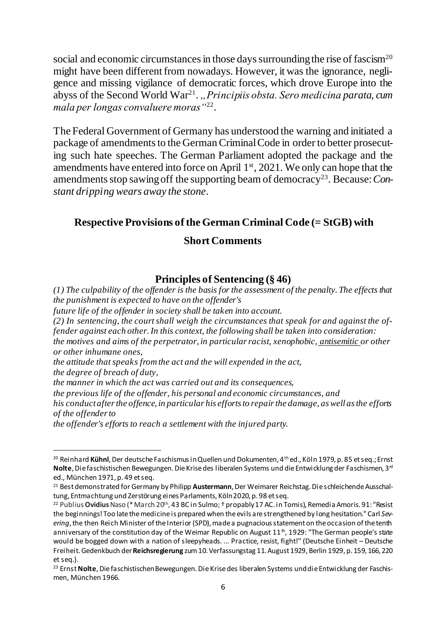social and economic circumstances in those days surrounding the rise of fascism<sup>20</sup> might have been different from nowadays. However, it was the ignorance, negligence and missing vigilance of democratic forces, which drove Europe into the abyss of the Second World War<sup>21</sup>., *Principiis obsta. Sero medicina parata, cum mala per longas convaluere moras"*<sup>22</sup> .

The Federal Government of Germany has understood the warning and initiated a package of amendments to the German Criminal Code in order to better prosecuting such hate speeches. The German Parliament adopted the package and the amendments have entered into force on April  $1<sup>st</sup>$ , 2021. We only can hope that the amendments stop sawing off the supporting beam of democracy<sup>23</sup>. Because: Con*stant dripping wears away the stone*.

# **Respective Provisions of the German Criminal Code (= StGB) with**

# **Short Comments**

## **Principles of Sentencing (§ 46)**

*(1) The culpability of the offender is the basis for the assessment of the penalty. The effects that the punishment is expected to have on the offender's*

*future life of the offender in society shall be taken into account.*

*(2) In sentencing, the court shall weigh the circumstances that speak for and against the offender against each other. In this context, the following shall be taken into consideration:*

*the motives and aims of the perpetrator, in particular racist, xenophobic, antisemitic or other or other inhumane ones,*

*the attitude that speaks from the act and the will expended in the act,*

*the degree of breach of duty,*

1

*the manner in which the act was carried out and its consequences,*

*the previous life of the offender, his personal and economic circumstances, and*

*his conduct after the offence, in particular his efforts to repair the damage, as well as the efforts of the offender to*

*the offender's efforts to reach a settlement with the injured party.*

<sup>&</sup>lt;sup>20</sup> Reinhard Kühnl, Der deutsche Faschismus in Quellen und Dokumenten, 4<sup>th</sup> ed., Köln 1979, p. 85 et seq.; Ernst **Nolte**, Die faschistischen Bewegungen. Die Krise des liberalen Systems und die Entwicklung der Faschismen, 3rd ed., München 1971, p. 49 et seq.

<sup>21</sup> Best demonstrated for Germany by Philipp **Austermann**, Der Weimarer Reichstag. Die schleichende Ausschaltung, Entmachtung und Zerstörung eines Parlaments, Köln 2020, p. 98 et seq.

<sup>&</sup>lt;sup>22</sup> Publius **Ovidius** Naso (\* March 20<sup>th</sup>[, 43 BC](https://de.wikipedia.org/wiki/43_v._Chr.) i[n Sulmo](https://de.wikipedia.org/wiki/Sulmona); † propabl[y 17 AC.](https://de.wikipedia.org/wiki/17) i[n Tomis](https://de.wikipedia.org/wiki/Tomoi)), Remedia Amoris. 91: "Resist the beginnings! Too late the medicine is prepared when the evils are strengthened by long hesitation." Carl *Severing*, the then Reich Minister of the Interior (SPD), made a pugnacious statement on the occasion of the tenth anniversary of the constitution day of the Weimar Republic on August  $11<sup>th</sup>$ , 1929: "The German people's state would be bogged down with a nation of sleepyheads. ... Practice, resist, fight!" (Deutsche Einheit – Deutsche Freiheit. Gedenkbuch der **Reichsregierung** zum 10. Verfassungstag 11. August 1929, Berlin 1929, p. 159, 166, 220 et seq.).

<sup>23</sup> Ernst **Nolte**, Die faschistischen Bewegungen. Die Krise des liberalen Systems und die Entwicklung der Faschismen, München 1966.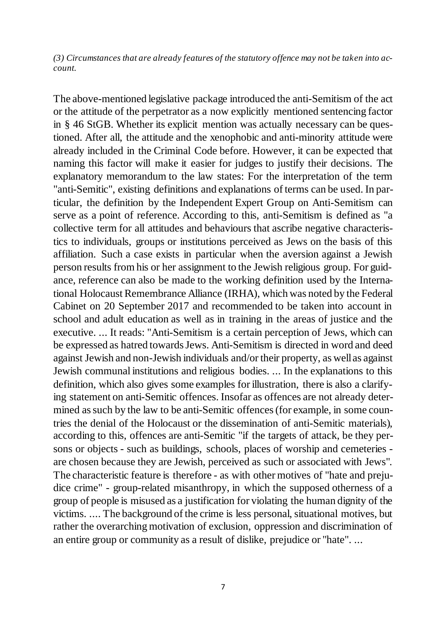*(3) Circumstances that are already features of the statutory offence may not be taken into account.*

The above-mentioned legislative package introduced the anti-Semitism of the act or the attitude of the perpetrator as a now explicitly mentioned sentencing factor in § 46 StGB. Whether its explicit mention was actually necessary can be questioned. After all, the attitude and the xenophobic and anti-minority attitude were already included in the Criminal Code before. However, it can be expected that naming this factor will make it easier for judges to justify their decisions. The explanatory memorandum to the law states: For the interpretation of the term "anti-Semitic", existing definitions and explanations of terms can be used. In particular, the definition by the Independent Expert Group on Anti-Semitism can serve as a point of reference. According to this, anti-Semitism is defined as "a collective term for all attitudes and behaviours that ascribe negative characteristics to individuals, groups or institutions perceived as Jews on the basis of this affiliation. Such a case exists in particular when the aversion against a Jewish person results from his or her assignment to the Jewish religious group. For guidance, reference can also be made to the working definition used by the International Holocaust Remembrance Alliance (IRHA), which was noted by the Federal Cabinet on 20 September 2017 and recommended to be taken into account in school and adult education as well as in training in the areas of justice and the executive. ... It reads: "Anti-Semitism is a certain perception of Jews, which can be expressed as hatred towards Jews. Anti-Semitism is directed in word and deed against Jewish and non-Jewish individuals and/or their property, as well as against Jewish communal institutions and religious bodies. ... In the explanations to this definition, which also gives some examples for illustration, there is also a clarifying statement on anti-Semitic offences. Insofar as offences are not already determined as such by the law to be anti-Semitic offences (for example, in some countries the denial of the Holocaust or the dissemination of anti-Semitic materials), according to this, offences are anti-Semitic "if the targets of attack, be they persons or objects - such as buildings, schools, places of worship and cemeteries are chosen because they are Jewish, perceived as such or associated with Jews". The characteristic feature is therefore - as with other motives of "hate and prejudice crime" - group-related misanthropy, in which the supposed otherness of a group of people is misused as a justification for violating the human dignity of the victims. .... The background of the crime is less personal, situational motives, but rather the overarching motivation of exclusion, oppression and discrimination of an entire group or community as a result of dislike, prejudice or "hate". ...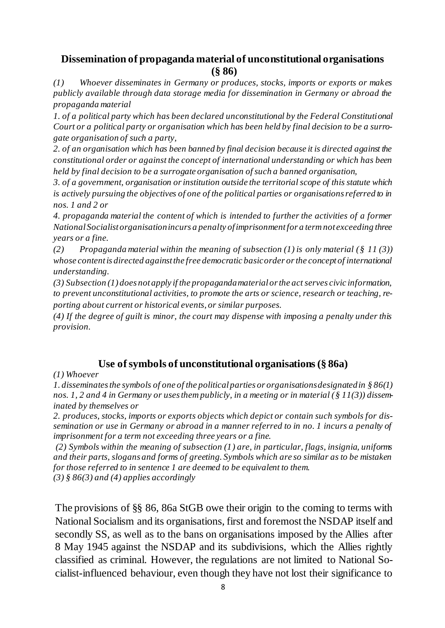## **Dissemination of propaganda material of unconstitutional organisations (§ 86)**

*(1) Whoever disseminates in Germany or produces, stocks, imports or exports or makes publicly available through data storage media for dissemination in Germany or abroad the propaganda material*

*1. of a political party which has been declared unconstitutional by the Federal Constitutional Court or a political party or organisation which has been held by final decision to be a surrogate organisation of such a party,* 

*2. of an organisation which has been banned by final decision because it is directed against the constitutional order or against the concept of international understanding or which has been held by final decision to be a surrogate organisation of such a banned organisation,* 

*3. of a government, organisation or institution outside the territorial scope of this statute which is actively pursuing the objectives of one of the political parties or organisations referred to in nos. 1 and 2 or* 

*4. propaganda material the content of which is intended to further the activities of a former National Socialist organisation incurs a penalty of imprisonment for a term not exceeding three years or a fine.* 

*(2) Propaganda material within the meaning of subsection (1) is only material (§ 11 (3)) whose content is directed against the free democratic basic order or the concept of international understanding.* 

*(3) Subsection (1) does not apply if the propaganda material or the act serves civic information, to prevent unconstitutional activities, to promote the arts or science, research or teaching, reporting about current or historical events, or similar purposes.* 

*(4) If the degree of guilt is minor, the court may dispense with imposing a penalty under this provision.* 

# **Use of symbols of unconstitutional organisations(§ 86a)**

*(1) Whoever* 

*1. disseminates the symbols of one of the political parties or organisations designated in § 86(1) nos. 1, 2 and 4 in Germany or uses them publicly, in a meeting or in material (§ 11(3)) disseminated by themselves or* 

*2. produces, stocks, imports or exports objects which depict or contain such symbols for dissemination or use in Germany or abroad in a manner referred to in no. 1 incurs a penalty of imprisonment for a term not exceeding three years or a fine.* 

*(2) Symbols within the meaning of subsection (1) are, in particular, flags, insignia, uniforms and their parts, slogans and forms of greeting. Symbols which are so similar as to be mistaken for those referred to in sentence 1 are deemed to be equivalent to them. (3) § 86(3) and (4) applies accordingly*

The provisions of §§ 86, 86a StGB owe their origin to the coming to terms with National Socialism and its organisations, first and foremost the NSDAP itself and secondly SS, as well as to the bans on organisations imposed by the Allies after 8 May 1945 against the NSDAP and its subdivisions, which the Allies rightly classified as criminal. However, the regulations are not limited to National Socialist-influenced behaviour, even though they have not lost their significance to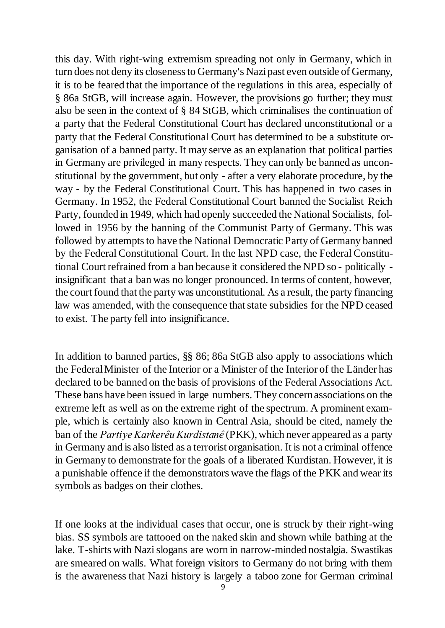this day. With right-wing extremism spreading not only in Germany, which in turn does not deny its closeness to Germany's Nazi past even outside of Germany, it is to be feared that the importance of the regulations in this area, especially of § 86a StGB, will increase again. However, the provisions go further; they must also be seen in the context of § 84 StGB, which criminalises the continuation of a party that the Federal Constitutional Court has declared unconstitutional or a party that the Federal Constitutional Court has determined to be a substitute organisation of a banned party. It may serve as an explanation that political parties in Germany are privileged in many respects. They can only be banned as unconstitutional by the government, but only - after a very elaborate procedure, by the way - by the Federal Constitutional Court. This has happened in two cases in Germany. In 1952, the Federal Constitutional Court banned the Socialist Reich Party, founded in 1949, which had openly succeeded the National Socialists, followed in 1956 by the banning of the Communist Party of Germany. This was followed by attempts to have the National Democratic Party of Germany banned by the Federal Constitutional Court. In the last NPD case, the Federal Constitutional Court refrained from a ban because it considered the NPD so - politically insignificant that a ban was no longer pronounced. In terms of content, however, the court found that the party was unconstitutional. As a result, the party financing law was amended, with the consequence that state subsidies for the NPD ceased to exist. The party fell into insignificance.

In addition to banned parties, §§ 86; 86a StGB also apply to associations which the Federal Minister of the Interior or a Minister of the Interior of the Länder has declared to be banned on the basis of provisions of the Federal Associations Act. These bans have been issued in large numbers. They concern associations on the extreme left as well as on the extreme right of the spectrum. A prominent example, which is certainly also known in Central Asia, should be cited, namely the ban of the *Partiye Karkerêu Kurdistanê* (PKK), which never appeared as a party in Germany and is also listed as a terrorist organisation. It is not a criminal offence in Germany to demonstrate for the goals of a liberated Kurdistan. However, it is a punishable offence if the demonstrators wave the flags of the PKK and wear its symbols as badges on their clothes.

If one looks at the individual cases that occur, one is struck by their right-wing bias. SS symbols are tattooed on the naked skin and shown while bathing at the lake. T-shirts with Nazi slogans are worn in narrow-minded nostalgia. Swastikas are smeared on walls. What foreign visitors to Germany do not bring with them is the awareness that Nazi history is largely a taboo zone for German criminal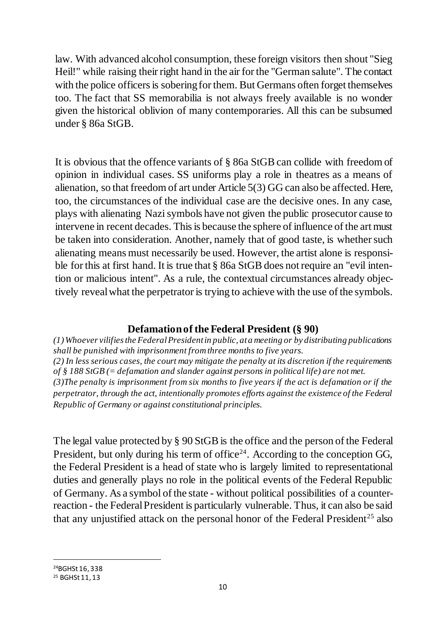law. With advanced alcohol consumption, these foreign visitors then shout "Sieg Heil!" while raising their right hand in the air for the "German salute". The contact with the police officers is sobering for them. But Germans often forget themselves too. The fact that SS memorabilia is not always freely available is no wonder given the historical oblivion of many contemporaries. All this can be subsumed under § 86a StGB.

It is obvious that the offence variants of § 86a StGB can collide with freedom of opinion in individual cases. SS uniforms play a role in theatres as a means of alienation, so that freedom of art under Article 5(3) GG can also be affected. Here, too, the circumstances of the individual case are the decisive ones. In any case, plays with alienating Nazi symbols have not given the public prosecutor cause to intervene in recent decades. This is because the sphere of influence of the art must be taken into consideration. Another, namely that of good taste, is whether such alienating means must necessarily be used. However, the artist alone is responsible for this at first hand. It is true that § 86a StGB does not require an "evil intention or malicious intent". As a rule, the contextual circumstances already objectively reveal what the perpetrator is trying to achieve with the use of the symbols.

# **Defamationof the Federal President (§ 90)**

*(1) Whoever vilifies the Federal President in public, at a meeting or by distributing publications shall be punished with imprisonment from three months to five years. (2) In less serious cases, the court may mitigate the penalty at its discretion if the requirements of § 188 StGB (= defamation and slander against persons in political life) are not met. (3)The penalty is imprisonment from six months to five years if the act is defamation or if the perpetrator, through the act, intentionally promotes efforts against the existence of the Federal Republic of Germany or against constitutional principles.*

The legal value protected by § 90 StGB is the office and the person of the Federal President, but only during his term of office<sup>24</sup>. According to the conception GG, the Federal President is a head of state who is largely limited to representational duties and generally plays no role in the political events of the Federal Republic of Germany. As a symbol of the state - without political possibilities of a counterreaction - the Federal President is particularly vulnerable. Thus, it can also be said that any unjustified attack on the personal honor of the Federal President<sup>25</sup> also

1 <sup>24</sup>BGHSt 16, 338

<sup>25</sup> BGHSt 11, 13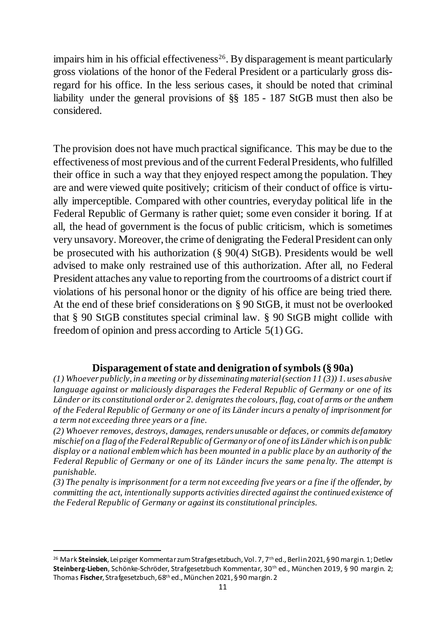impairs him in his official effectiveness<sup>26</sup>. By disparagement is meant particularly gross violations of the honor of the Federal President or a particularly gross disregard for his office. In the less serious cases, it should be noted that criminal liability under the general provisions of §§ 185 - 187 StGB must then also be considered.

The provision does not have much practical significance. This may be due to the effectiveness of most previous and of the current Federal Presidents, who fulfilled their office in such a way that they enjoyed respect among the population. They are and were viewed quite positively; criticism of their conduct of office is virtually imperceptible. Compared with other countries, everyday political life in the Federal Republic of Germany is rather quiet; some even consider it boring. If at all, the head of government is the focus of public criticism, which is sometimes very unsavory. Moreover, the crime of denigrating the Federal President can only be prosecuted with his authorization (§ 90(4) StGB). Presidents would be well advised to make only restrained use of this authorization. After all, no Federal President attaches any value to reporting from the courtrooms of a district court if violations of his personal honor or the dignity of his office are being tried there. At the end of these brief considerations on § 90 StGB, it must not be overlooked that § 90 StGB constitutes special criminal law. § 90 StGB might collide with freedom of opinion and press according to Article 5(1) GG.

## **Disparagement of state and denigration of symbols(§ 90a)**

*(1) Whoever publicly, in a meeting or by disseminating material (section 11 (3)) 1. uses abusive language against or maliciously disparages the Federal Republic of Germany or one of its Länder or its constitutional order or 2. denigrates the colours, flag, coat of arms or the anthem of the Federal Republic of Germany or one of its Länder incurs a penalty of imprisonment for a term not exceeding three years or a fine.* 

*(2) Whoever removes, destroys, damages, renders unusable or defaces, or commits defamatory mischief on a flag of the Federal Republic of Germany or of one of its Länder which is on public display or a national emblem which has been mounted in a public place by an authority of the Federal Republic of Germany or one of its Länder incurs the same penalty. The attempt is punishable.* 

*(3) The penalty is imprisonment for a term not exceeding five years or a fine if the offender, by committing the act, intentionally supports activities directed against the continued existence of the Federal Republic of Germany or against its constitutional principles.*

<sup>1</sup> <sup>26</sup> Mark **Steinsiek**, Leipziger Kommentar zum Strafges etzbuch, Vol. 7, 7<sup>th</sup> ed., Berlin 2021, § 90 margin. 1; Detlev **Steinberg-Lieben**, Schönke-Schröder, Strafgesetzbuch Kommentar, 30th ed., München 2019, § 90 margin. 2; Thomas **Fischer**, Strafgesetzbuch, 68th ed., München 2021, § 90 margin. 2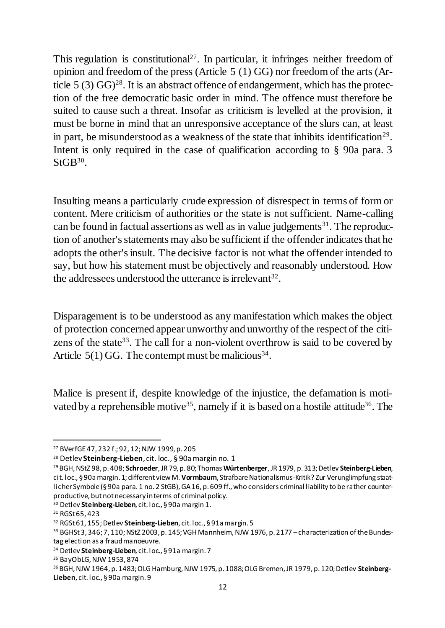This regulation is constitutional<sup>27</sup>. In particular, it infringes neither freedom of opinion and freedom of the press (Article 5 (1) GG) nor freedom of the arts (Article  $5(3)$  GG)<sup>28</sup>. It is an abstract offence of endangerment, which has the protection of the free democratic basic order in mind. The offence must therefore be suited to cause such a threat. Insofar as criticism is levelled at the provision, it must be borne in mind that an unresponsive acceptance of the slurs can, at least in part, be misunderstood as a weakness of the state that inhibits identification<sup>29</sup>. Intent is only required in the case of qualification according to § 90a para. 3  $StGB<sup>30</sup>$ .

Insulting means a particularly crude expression of disrespect in terms of form or content. Mere criticism of authorities or the state is not sufficient. Name-calling can be found in factual assertions as well as in value judgements<sup>31</sup>. The reproduction of another's statements may also be sufficient if the offender indicates that he adopts the other's insult. The decisive factor is not what the offender intended to say, but how his statement must be objectively and reasonably understood. How the addressees understood the utterance is irrelevant<sup>32</sup>.

Disparagement is to be understood as any manifestation which makes the object of protection concerned appear unworthy and unworthy of the respect of the citizens of the state<sup>33</sup>. The call for a non-violent overthrow is said to be covered by Article  $5(1)$  GG. The contempt must be malicious<sup>34</sup>.

Malice is present if, despite knowledge of the injustice, the defamation is motivated by a reprehensible motive<sup>35</sup>, namely if it is based on a hostile attitude<sup>36</sup>. The

<sup>27</sup> BVerfGE 47, 232 f.; 92, 12; NJW 1999, p. 205

<sup>28</sup> Detlev **Steinberg-Lieben**, cit. loc., § 90a margin no. 1

<sup>29</sup> BGH, NStZ 98, p. 408; **Schroeder**, JR 79, p. 80; Thomas **Würtenberger**, JR 1979, p. 313; Detlev **Steinberg-Lieben**, cit. loc., § 90a margin. 1; different view M. **Vormbaum**, Strafbare Nationalismus-Kritik? Zur Verunglimpfung staatlicher Symbole (§ 90a para. 1 no. 2 StGB), GA 16, p. 609 ff., who considers criminal liability to be rather counterproductive, but not necessary in terms of criminal policy.

<sup>30</sup> Detlev **Steinberg-Lieben**, cit. loc., § 90a margin 1.

<sup>31</sup> RGSt 65, 423

<sup>32</sup> RGSt 61, 155; Detlev **Steinberg-Lieben**, cit. loc., § 91a margin. 5

<sup>33</sup> BGHSt 3, 346; 7, 110; NStZ 2003, p. 145; VGH Mannheim, NJW 1976, p. 2177 –characterization of the Bundestag election as a fraud manoeuvre.

<sup>34</sup> Detlev **Steinberg-Lieben**, cit. loc., § 91a margin. 7

<sup>35</sup> BayObLG, NJW 1953, 874

<sup>36</sup> BGH, NJW 1964, p. 1483; OLG Hamburg, NJW 1975, p. 1088; OLG Bremen, JR 1979, p. 120; Detlev **Steinberg-Lieben**, cit. loc., § 90a margin. 9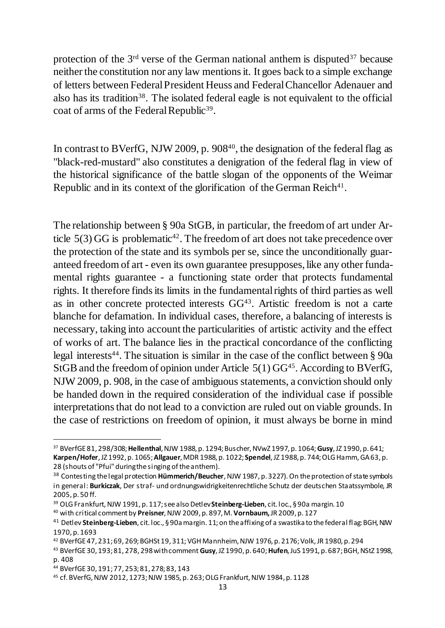protection of the  $3<sup>rd</sup>$  verse of the German national anthem is disputed<sup>37</sup> because neither the constitution nor any law mentions it. It goes back to a simple exchange of letters between Federal President Heuss and Federal Chancellor Adenauer and also has its tradition<sup>38</sup>. The isolated federal eagle is not equivalent to the official coat of arms of the Federal Republic<sup>39</sup>.

In contrast to BVerfG, NJW 2009, p.  $908<sup>40</sup>$ , the designation of the federal flag as "black-red-mustard" also constitutes a denigration of the federal flag in view of the historical significance of the battle slogan of the opponents of the Weimar Republic and in its context of the glorification of the German Reich $41$ .

The relationship between § 90a StGB, in particular, the freedom of art under Article  $5(3)$  GG is problematic<sup>42</sup>. The freedom of art does not take precedence over the protection of the state and its symbols per se, since the unconditionally guaranteed freedom of art - even its own guarantee presupposes, like any other fundamental rights guarantee - a functioning state order that protects fundamental rights. It therefore finds its limits in the fundamental rights of third parties as well as in other concrete protected interests  $GG<sup>43</sup>$ . Artistic freedom is not a carte blanche for defamation. In individual cases, therefore, a balancing of interests is necessary, taking into account the particularities of artistic activity and the effect of works of art. The balance lies in the practical concordance of the conflicting legal interests<sup>44</sup>. The situation is similar in the case of the conflict between  $\S$  90a StGB and the freedom of opinion under Article  $5(1)$  GG<sup>45</sup>. According to BVerfG, NJW 2009, p. 908, in the case of ambiguous statements, a conviction should only be handed down in the required consideration of the individual case if possible interpretations that do not lead to a conviction are ruled out on viable grounds. In the case of restrictions on freedom of opinion, it must always be borne in mind

<sup>37</sup> BVerfGE 81, 298/308; **Hellenthal**, NJW 1988, p. 1294; Buscher, NVwZ 1997, p. 1064; **Gusy**, JZ 1990, p. 641; **Karpen/Hofer**, JZ 1992, p. 1065; **Allgauer**, MDR 1988, p. 1022; **Spendel**, JZ 1988, p. 744; OLG Hamm, GA 63, p. 28 (shouts of "Pfui" during the singing of the anthem).

<sup>38</sup> Contesting the legal protection **Hümmerich/Beucher**, NJW 1987, p. 3227). On the protection of state symbols in general: **Burkiczak**, Der straf- und ordnungswidrigkeitenrechtliche Schutz der deutschen Staatssymbole, JR 2005, p. 50 ff.

<sup>39</sup> OLG Frankfurt, NJW 1991, p. 117; see also Detlev **Steinberg-Lieben**, cit. loc., § 90a margin. 10

<sup>40</sup> with critical comment by **Preisner**, NJW 2009, p. 897, M. **Vornbaum,**JR 2009, p. 127

<sup>41</sup> Detlev **Steinberg-Lieben**, cit. loc., § 90a margin. 11; on the affixing of a swastika to the federal flag: BGH, NJW 1970, p. 1693

<sup>42</sup> BVerfGE 47, 231; 69, 269; BGHSt 19, 311; VGH Mannheim, NJW 1976, p. 2176; Volk, JR 1980, p. 294

<sup>43</sup> BVerfGE 30, 193; 81, 278, 298 with comment **Gusy**, JZ 1990, p. 640; **Hufen**, JuS 1991, p. 687; BGH, NStZ 1998, p. 408

<sup>44</sup> BVerfGE 30, 191; 77, 253; 81, 278; 83, 143

<sup>45</sup> cf. BVerfG, NJW 2012, 1273; NJW 1985, p. 263; OLG Frankfurt, NJW 1984, p. 1128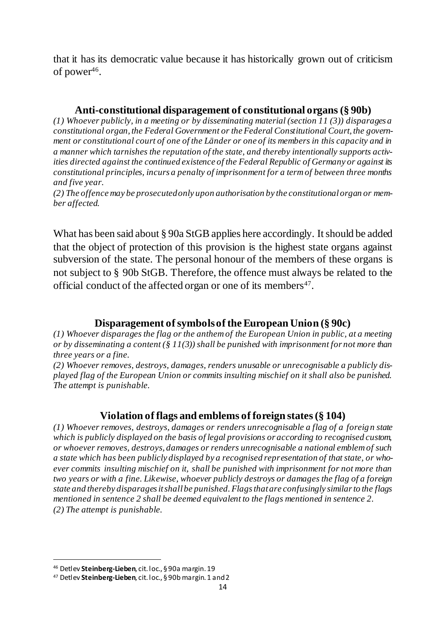that it has its democratic value because it has historically grown out of criticism of power $46$ .

## **Anti-constitutional disparagement of constitutional organs (§ 90b)**

*(1) Whoever publicly, in a meeting or by disseminating material (section 11 (3)) disparages a constitutional organ, the Federal Government or the Federal Constitutional Court, the government or constitutional court of one of the Länder or one of its members in this capacity and in a manner which tarnishes the reputation of the state, and thereby intentionally supports activities directed against the continued existence of the Federal Republic of Germany or against its constitutional principles, incurs a penalty of imprisonment for a term of between three months and five year.*

*(2) The offence may be prosecuted only upon authorisation by the constitutional organ or member affected.*

What has been said about § 90a StGB applies here accordingly. It should be added that the object of protection of this provision is the highest state organs against subversion of the state. The personal honour of the members of these organs is not subject to § 90b StGB. Therefore, the offence must always be related to the official conduct of the affected organ or one of its members<sup>47</sup>.

# **Disparagement of symbols of the European Union (§ 90c)**

*(1) Whoever disparages the flag or the anthem of the European Union in public, at a meeting or by disseminating a content (§ 11(3)) shall be punished with imprisonment for not more than three years or a fine.*

*(2) Whoever removes, destroys, damages, renders unusable or unrecognisable a publicly displayed flag of the European Union or commits insulting mischief on it shall also be punished. The attempt is punishable.* 

# **Violation of flags and emblems of foreign states (§ 104)**

*(1) Whoever removes, destroys, damages or renders unrecognisable a flag of a foreig n state which is publicly displayed on the basis of legal provisions or according to recognised custom, or whoever removes, destroys, damages or renders unrecognisable a national emblem of such a state which has been publicly displayed by a recognised representation of that state, or whoever commits insulting mischief on it, shall be punished with imprisonment for not more than two years or with a fine. Likewise, whoever publicly destroys or damages the flag of a foreign state and thereby disparages it shall be punished. Flags that are confusingly similar to the flags mentioned in sentence 2 shall be deemed equivalent to the flags mentioned in sentence 2. (2) The attempt is punishable.*

<sup>46</sup> Detlev **Steinberg-Lieben**, cit. loc., § 90a margin. 19

<sup>47</sup> Detlev **Steinberg-Lieben**, cit. loc., § 90b margin. 1 and 2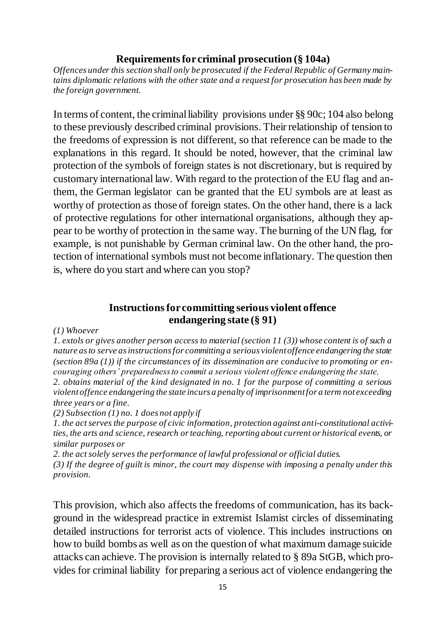## **Requirements for criminal prosecution (§ 104a)**

*Offences under this section shall only be prosecuted if the Federal Republic of Germany maintains diplomatic relations with the other state and a request for prosecution has been made by the foreign government.*

In terms of content, the criminal liability provisions under §§ 90c; 104 also belong to these previously described criminal provisions. Their relationship of tension to the freedoms of expression is not different, so that reference can be made to the explanations in this regard. It should be noted, however, that the criminal law protection of the symbols of foreign states is not discretionary, but is required by customary international law. With regard to the protection of the EU flag and anthem, the German legislator can be granted that the EU symbols are at least as worthy of protection as those of foreign states. On the other hand, there is a lack of protective regulations for other international organisations, although they appear to be worthy of protection in the same way. The burning of the UN flag, for example, is not punishable by German criminal law. On the other hand, the protection of international symbols must not become inflationary. The question then is, where do you start and where can you stop?

## **Instructions for committing serious violent offence endangering state (§ 91)**

*(1) Whoever* 

*1. extols or gives another person access to material (section 11 (3)) whose content is of such a nature as to serve as instructions for committing a serious violent offence endangering the state (section 89a (1)) if the circumstances of its dissemination are conducive to promoting or encouraging others' preparedness to commit a serious violent offence endangering the state, 2. obtains material of the kind designated in no. 1 for the purpose of committing a serious* 

*violent offence endangering the state incurs a penalty of imprisonment for a term not exceeding three years or a fine.* 

*(2) Subsection (1) no. 1 does not apply if* 

*1. the act serves the purpose of civic information, protection against anti-constitutional activities, the arts and science, research or teaching, reporting about current or historical events, or similar purposes or* 

*2. the act solely serves the performance of lawful professional or official duties.* 

*(3) If the degree of guilt is minor, the court may dispense with imposing a penalty under this provision.*

This provision, which also affects the freedoms of communication, has its background in the widespread practice in extremist Islamist circles of disseminating detailed instructions for terrorist acts of violence. This includes instructions on how to build bombs as well as on the question of what maximum damage suicide attacks can achieve. The provision is internally related to § 89a StGB, which provides for criminal liability for preparing a serious act of violence endangering the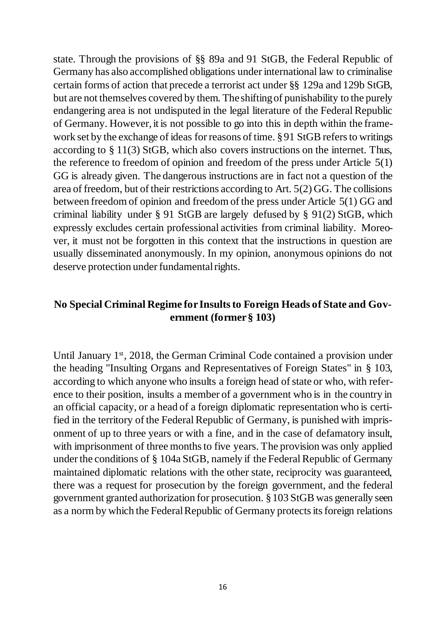state. Through the provisions of §§ 89a and 91 StGB, the Federal Republic of Germany has also accomplished obligations under international law to criminalise certain forms of action that precede a terrorist act under §§ 129a and 129b StGB, but are not themselves covered by them. The shifting of punishability to the purely endangering area is not undisputed in the legal literature of the Federal Republic of Germany. However, it is not possible to go into this in depth within the framework set by the exchange of ideas for reasons of time. § 91 StGB refers to writings according to § 11(3) StGB, which also covers instructions on the internet. Thus, the reference to freedom of opinion and freedom of the press under Article 5(1) GG is already given. The dangerous instructions are in fact not a question of the area of freedom, but of their restrictions according to Art. 5(2) GG. The collisions between freedom of opinion and freedom of the press under Article 5(1) GG and criminal liability under § 91 StGB are largely defused by § 91(2) StGB, which expressly excludes certain professional activities from criminal liability. Moreover, it must not be forgotten in this context that the instructions in question are usually disseminated anonymously. In my opinion, anonymous opinions do not deserve protection under fundamental rights.

# **No Special Criminal Regime for Insults to Foreign Heads of State and Government (former § 103)**

Until January 1<sup>st</sup>, 2018, the German Criminal Code contained a provision under the heading "Insulting Organs and Representatives of Foreign States" in § 103, according to which anyone who insults a foreign head of state or who, with reference to their position, insults a member of a government who is in the country in an official capacity, or a head of a foreign diplomatic representation who is certified in the territory of the Federal Republic of Germany, is punished with imprisonment of up to three years or with a fine, and in the case of defamatory insult, with imprisonment of three months to five years. The provision was only applied under the conditions of § 104a StGB, namely if the Federal Republic of Germany maintained diplomatic relations with the other state, reciprocity was guaranteed, there was a request for prosecution by the foreign government, and the federal government granted authorization for prosecution. §103 StGB was generally seen as a norm by which the Federal Republic of Germany protects its foreign relations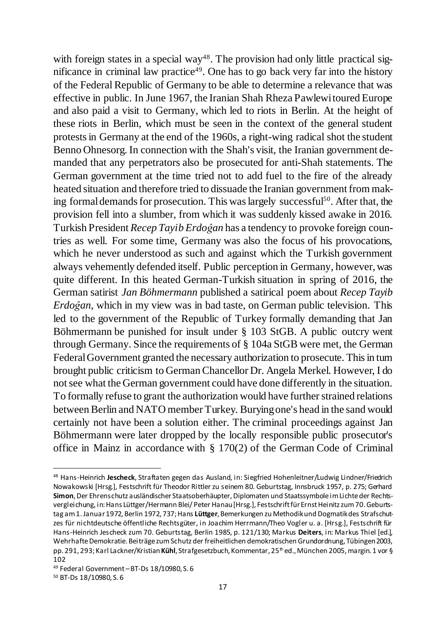with foreign states in a special way<sup>48</sup>. The provision had only little practical significance in criminal law practice<sup>49</sup>. One has to go back very far into the history of the Federal Republic of Germany to be able to determine a relevance that was effective in public. In June 1967, the Iranian Shah Rheza Pawlewi toured Europe and also paid a visit to Germany, which led to riots in Berlin. At the height of these riots in Berlin, which must be seen in the context of the general student protests in Germany at the end of the 1960s, a right-wing radical shot the student Benno Ohnesorg. In connection with the Shah's visit, the Iranian government demanded that any perpetrators also be prosecuted for anti-Shah statements. The German government at the time tried not to add fuel to the fire of the already heated situation and therefore tried to dissuade the Iranian government from making formal demands for prosecution. This was largely successful<sup>50</sup>. After that, the provision fell into a slumber, from which it was suddenly kissed awake in 2016. Turkish President *Recep Tayib Erdoĝan* has a tendency to provoke foreign countries as well. For some time, Germany was also the focus of his provocations, which he never understood as such and against which the Turkish government always vehemently defended itself. Public perception in Germany, however, was quite different. In this heated German-Turkish situation in spring of 2016, the German satirist *Jan Böhmermann* published a satirical poem about *Recep Tayib Erdoĝan*, which in my view was in bad taste, on German public television. This led to the government of the Republic of Turkey formally demanding that Jan Böhmermann be punished for insult under § 103 StGB. A public outcry went through Germany. Since the requirements of § 104a StGB were met, the German Federal Government granted the necessary authorization to prosecute. This in turn brought public criticism to German Chancellor Dr. Angela Merkel. However, I do not see what the German government could have done differently in the situation. To formally refuse to grant the authorization would have further strained relations between Berlin and NATO member Turkey. Burying one's head in the sand would certainly not have been a solution either. The criminal proceedings against Jan Böhmermann were later dropped by the locally responsible public prosecutor's office in Mainz in accordance with § 170(2) of the German Code of Criminal

<sup>48</sup> Hans-Heinrich **Jescheck**, Straftaten gegen das Ausland, in: Siegfried Hohenleitner/Ludwig Lindner/Friedrich Nowakowski [Hrsg.], Festschrift für Theodor Rittler zu seinem 80. Geburtstag, Innsbruck 1957, p. 275; Gerhard **Simon**, Der Ehrenschutz ausländischer Staatsoberhäupter, Diplomaten und Staatssymbole im Lichte der Rechtsvergleichung, in: Hans Lüttger/Hermann Blei/ Peter Hanau [Hrsg.], Festschrift für Ernst Heinitz zum 70. Geburtstag am 1. Januar 1972, Berlin 1972, 737; Hans **Lüttger**, Bemerkungen zu Methodik und Dogmatik des Strafschutzes für nichtdeutsche öffentliche Rechtsgüter, in Joachim Herrmann/Theo Vogler u. a. [Hrsg.], Festschrift für Hans-Heinrich Jescheck zum 70. Geburtstag, Berlin 1985, p. 121/130; Markus **Deiters**, in: Markus Thiel [ed.], Wehrhafte Demokratie. Beiträge zum Schutz der freiheitlichen demokratischen Grundordnung, Tübingen 2003, pp. 291, 293; Karl Lackner/Kristian **Kühl**, Strafgesetzbuch, Kommentar, 25th ed., München 2005, margin. 1 vor § 102

<sup>49</sup> Federal Government –BT-Ds 18/10980, S. 6

<sup>50</sup> BT-Ds 18/10980, S. 6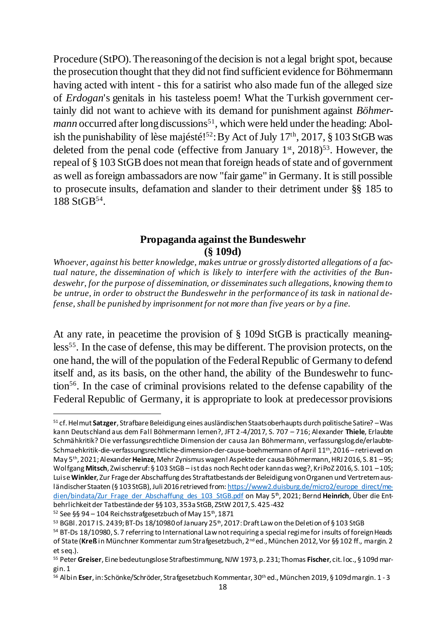Procedure (StPO). The reasoning of the decision is not a legal bright spot, because the prosecution thought that they did not find sufficient evidence for Böhmermann having acted with intent - this for a satirist who also made fun of the alleged size of *Erdogan*'s genitals in his tasteless poem! What the Turkish government certainly did not want to achieve with its demand for punishment against *Böhmermann* occurred after long discussions<sup>51</sup>, which were held under the heading: Abolish the punishability of lèse majésté!<sup>52</sup>: By Act of July  $17<sup>th</sup>$ , 2017, § 103 StGB was deleted from the penal code (effective from January  $1<sup>st</sup>$ , 2018)<sup>53</sup>. However, the repeal of § 103 StGB does not mean that foreign heads of state and of government as well as foreign ambassadors are now "fair game" in Germany. It is still possible to prosecute insults, defamation and slander to their detriment under §§ 185 to  $188 \text{ St} \text{GB}^{54}$ .

#### **Propaganda against the Bundeswehr (§ 109d)**

*Whoever, against his better knowledge, makes untrue or grossly distorted allegations of a factual nature, the dissemination of which is likely to interfere with the activities of the Bundeswehr, for the purpose of dissemination, or disseminates such allegations, knowing them to be untrue, in order to obstruct the Bundeswehr in the performance of its task in national defense, shall be punished by imprisonment for not more than five years or by a fine.*

At any rate, in peacetime the provision of § 109d StGB is practically meaningless<sup>55</sup>. In the case of defense, this may be different. The provision protects, on the one hand, the will of the population of the Federal Republic of Germany to defend itself and, as its basis, on the other hand, the ability of the Bundeswehr to function<sup>56</sup>. In the case of criminal provisions related to the defense capability of the Federal Republic of Germany, it is appropriate to look at predecessor provisions

<sup>1</sup> <sup>51</sup> cf. Helmut **Satzger**, Strafbare Beleidigung eines ausländischen Staatsoberhaupts durch politische Satire? –Was kann Deutschland aus dem Fall Böhmermann lernen?, JFT 2-4/2017, S. 707 – 716; Alexander **Thiele**, Erlaubte Schmähkritik? Die verfassungsrechtliche Dimension der causa Jan Böhmermann, verfassungslog.de/erlaubte-Schmaehkritik-die-verfassungsrechtliche-dimension-der-cause-boehmermann of April 11th, 2016 –retrieved on May 5th, 2021; Alexander **Heinze**, Mehr Zynismus wagen! Aspekte der causa Böhmermann, HRJ 2016, S. 81 –95; Wolfgang **Mitsch**, Zwischenruf: § 103 StGB – ist das noch Recht oder kann das weg?, KriPoZ 2016, S. 101 –105; Luise **Winkler**, Zur Frage der Abschaffung des Straftatbestands der Beleidigung von Organen und Vertretern ausländischer Staaten (§ 103 StGB), Juli 2016 retrieved fro[m: https://www2.duisburg.de/micro2/europe\\_direct/me](https://www2.duisburg.de/micro2/europe_direct/medien/bindata/Zur_Frage_der_Abschaffung_des_103_StGB.pdf)[dien/bindata/Zur\\_Frage\\_der\\_Abschaffung\\_des\\_103\\_StGB.pdf](https://www2.duisburg.de/micro2/europe_direct/medien/bindata/Zur_Frage_der_Abschaffung_des_103_StGB.pdf) on May 5th, 2021; Bernd **Heinrich**, Über die Entbehrlichkeit der Tatbestände der §§ 103, 353a StGB, ZStW 2017, S. 425-432

 $52$  See §§ 94 – 104 Reichsstrafgesetzbuch of May 15<sup>th</sup>, 1871

 $53$  BGBl. 2017 I S. 2439; BT-Ds 18/10980 of January 25<sup>th</sup>, 2017: Draft Law on the Deletion of §103 StGB

<sup>&</sup>lt;sup>54</sup> BT-Ds 18/10980, S. 7 referring to International Law not requiring a special regime for insults of foreign Heads of State (**Kreß** in Münchner Kommentar zum Strafgesetzbuch, 2nd ed., München 2012, Vor §§ 102 ff., margin. 2 et seq.).

<sup>55</sup> Peter **Greiser**, Eine bedeutungslose Strafbestimmung, NJW 1973, p. 231; Thomas **Fischer**, cit. loc., § 109d margin. 1

<sup>56</sup> Albin **Eser**, in: Schönke/Schröder, Strafgesetzbuch Kommentar, 30th ed., München 2019, § 109d margin. 1 - 3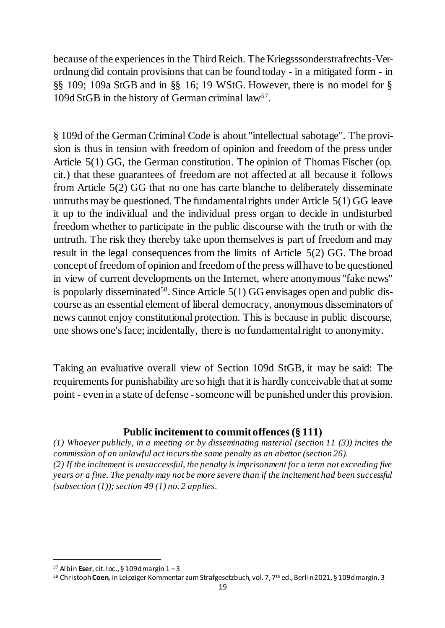because of the experiences in the Third Reich. The Kriegsssonderstrafrechts-Verordnung did contain provisions that can be found today - in a mitigated form - in §§ 109; 109a StGB and in §§ 16; 19 WStG. However, there is no model for § 109d StGB in the history of German criminal law<sup>57</sup>.

§ 109d of the German Criminal Code is about "intellectual sabotage". The provision is thus in tension with freedom of opinion and freedom of the press under Article 5(1) GG, the German constitution. The opinion of Thomas Fischer (op. cit.) that these guarantees of freedom are not affected at all because it follows from Article 5(2) GG that no one has carte blanche to deliberately disseminate untruths may be questioned. The fundamental rights under Article 5(1) GG leave it up to the individual and the individual press organ to decide in undisturbed freedom whether to participate in the public discourse with the truth or with the untruth. The risk they thereby take upon themselves is part of freedom and may result in the legal consequences from the limits of Article 5(2) GG. The broad concept of freedom of opinion and freedom of the press will have to be questioned in view of current developments on the Internet, where anonymous "fake news" is popularly disseminated<sup>58</sup>. Since Article  $5(1)$  GG envisages open and public discourse as an essential element of liberal democracy, anonymous disseminators of news cannot enjoy constitutional protection. This is because in public discourse, one shows one's face; incidentally, there is no fundamental right to anonymity.

Taking an evaluative overall view of Section 109d StGB, it may be said: The requirements for punishability are so high that it is hardly conceivable that at some point - even in a state of defense - someone will be punished under this provision.

## **Public incitement to commit offences(§ 111)**

*(1) Whoever publicly, in a meeting or by disseminating material (section 11 (3)) incites the commission of an unlawful act incurs the same penalty as an abettor (section 26). (2) If the incitement is unsuccessful, the penalty is imprisonment for a term not exceeding five years or a fine. The penalty may not be more severe than if the incitement had been successful (subsection (1)); section 49 (1) no. 2 applies.*

<sup>57</sup> Albin **Eser**, cit. loc., § 109d margin 1 –3

<sup>58</sup> Christoph **Coen**, in Leipziger Kommentar zum Strafgesetzbuch, vol. 7, 7th ed., Berlin 2021, § 109d margin. 3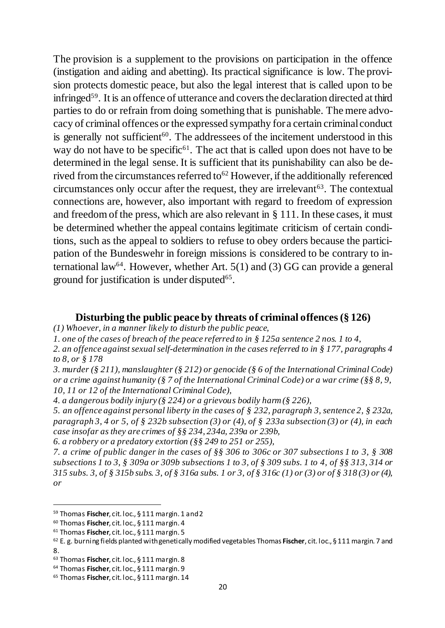The provision is a supplement to the provisions on participation in the offence (instigation and aiding and abetting). Its practical significance is low. The provision protects domestic peace, but also the legal interest that is called upon to be infringed<sup>59</sup>. It is an offence of utterance and covers the declaration directed at third parties to do or refrain from doing something that is punishable. The mere advocacy of criminal offences or the expressed sympathy for a certain criminal conduct is generally not sufficient<sup>60</sup>. The addressees of the incitement understood in this way do not have to be specific<sup> $61$ </sup>. The act that is called upon does not have to be determined in the legal sense. It is sufficient that its punishability can also be derived from the circumstances referred to<sup>62</sup> However, if the additionally referenced circumstances only occur after the request, they are irrelevant<sup> $63$ </sup>. The contextual connections are, however, also important with regard to freedom of expression and freedom of the press, which are also relevant in § 111. In these cases, it must be determined whether the appeal contains legitimate criticism of certain conditions, such as the appeal to soldiers to refuse to obey orders because the participation of the Bundeswehr in foreign missions is considered to be contrary to international law<sup>64</sup>. However, whether Art.  $5(1)$  and (3) GG can provide a general ground for justification is under disputed<sup>65</sup>.

#### **Disturbing the public peace by threats of criminal offences(§ 126)**

*(1) Whoever, in a manner likely to disturb the public peace,*

*2. an offence against sexual self-determination in the cases referred to in § 177, paragraphs 4 to 8, or § 178*

*3. murder (§ 211), manslaughter (§ 212) or genocide (§ 6 of the International Criminal Code) or a crime against humanity (§ 7 of the International Criminal Code) or a war crime (§§ 8, 9, 10, 11 or 12 of the International Criminal Code),*

*5. an offence against personal liberty in the cases of § 232, paragraph 3, sentence 2, § 232a, paragraph 3, 4 or 5, of § 232b subsection (3) or (4), of § 233a subsection (3) or (4), in each case insofar as they are crimes of §§ 234, 234a, 239a or 239b,*

*7. a crime of public danger in the cases of §§ 306 to 306c or 307 subsections 1 to 3, § 308 subsections 1 to 3, § 309a or 309b subsections 1 to 3, of § 309 subs. 1 to 4, of §§ 313, 314 or 315 subs. 3, of § 315b subs. 3, of § 316a subs. 1 or 3, of § 316c (1) or (3) or of § 318 (3) or (4), or*

*<sup>1.</sup> one of the cases of breach of the peace referred to in § 125a sentence 2 nos. 1 to 4,*

*<sup>4.</sup> a dangerous bodily injury (§ 224) or a grievous bodily harm (§ 226),*

*<sup>6.</sup> a robbery or a predatory extortion (§§ 249 to 251 or 255),*

<sup>59</sup> Thomas **Fischer**, cit. loc., § 111 margin. 1 and 2

<sup>60</sup> Thomas **Fischer**, cit. loc., § 111 margin. 4

<sup>61</sup> Thomas **Fischer**, cit. loc., § 111 margin. 5

<sup>62</sup> E. g. burning fields planted with genetically modified vegetables Thomas **Fischer**, cit. loc., § 111 margin. 7 and 8.

<sup>63</sup> Thomas **Fischer**, cit. loc., § 111 margin. 8

<sup>64</sup> Thomas **Fischer**, cit. loc., § 111 margin. 9

<sup>65</sup> Thomas **Fischer**, cit. loc., § 111 margin. 14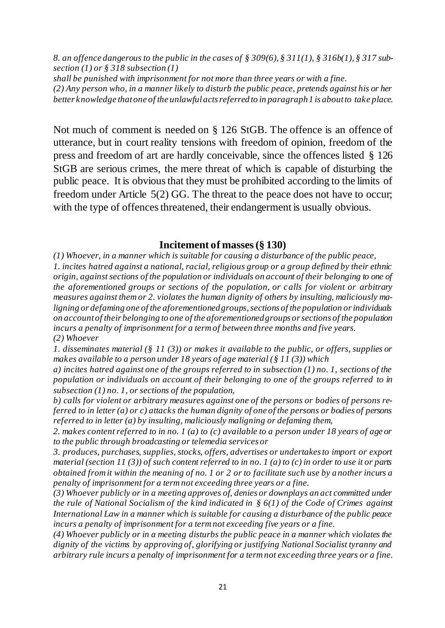*8. an offence dangerous to the public in the cases of § 309(6), § 311(1), § 316b(1), § 317 subsection (1) or § 318 subsection (1)*

*shall be punished with imprisonment for not more than three years or with a fine.*

*(2) Any person who, in a manner likely to disturb the public peace, pretends against his or her better knowledge that one of the unlawful acts referred to in paragraph 1 is about to take place.*

Not much of comment is needed on § 126 StGB. The offence is an offence of utterance, but in court reality tensions with freedom of opinion, freedom of the press and freedom of art are hardly conceivable, since the offences listed § 126 StGB are serious crimes, the mere threat of which is capable of disturbing the public peace. It is obvious that they must be prohibited according to the limits of freedom under Article 5(2) GG. The threat to the peace does not have to occur; with the type of offences threatened, their endangerment is usually obvious.

#### **Incitement of masses (§ 130)**

*(1) Whoever, in a manner which is suitable for causing a disturbance of the public peace, 1. incites hatred against a national, racial, religious group or a group defined by their ethnic origin, against sections of the population or individuals on account of their belonging to one of the aforementioned groups or sections of the population, or calls for violent or arbitrary measures against them or 2. violates the human dignity of others by insulting, maliciously maligning or defaming one of the aforementioned groups, sections of the population or individuals on account of their belonging to one of the aforementioned groups or sections of the population incurs a penalty of imprisonment for a term of between three months and five years. (2) Whoever* 

*1. disseminates material (§ 11 (3)) or makes it available to the public, or offers, supplies or makes available to a person under 18 years of age material (§ 11 (3)) which* 

*a) incites hatred against one of the groups referred to in subsection (1) no. 1, sections of the population or individuals on account of their belonging to one of the groups referred to in subsection (1) no. 1, or sections of the population,* 

*b) calls for violent or arbitrary measures against one of the persons or bodies of persons referred to in letter (a) or c) attacks the human dignity of one of the persons or bodies of persons referred to in letter (a) by insulting, maliciously maligning or defaming them,* 

*2. makes content referred to in no. 1 (a) to (c) available to a person under 18 years of age or to the public through broadcasting or telemedia services or* 

*3. produces, purchases, supplies, stocks, offers, advertises or undertakes to import or export material (section 11 (3)) of such content referred to in no. 1 (a) to (c) in order to use it or parts obtained from it within the meaning of no. 1 or 2 or to facilitate such use by another incurs a penalty of imprisonment for a term not exceeding three years or a fine.* 

*(3) Whoever publicly or in a meeting approves of, denies or downplays an act committed under the rule of National Socialism of the kind indicated in § 6(1) of the Code of Crimes against International Law in a manner which is suitable for causing a disturbance of the public peace incurs a penalty of imprisonment for a term not exceeding five years or a fine.* 

*(4) Whoever publicly or in a meeting disturbs the public peace in a manner which violates the dignity of the victims by approving of, glorifying or justifying National Socialist tyranny and arbitrary rule incurs a penalty of imprisonment for a term not exceeding three years or a fine.*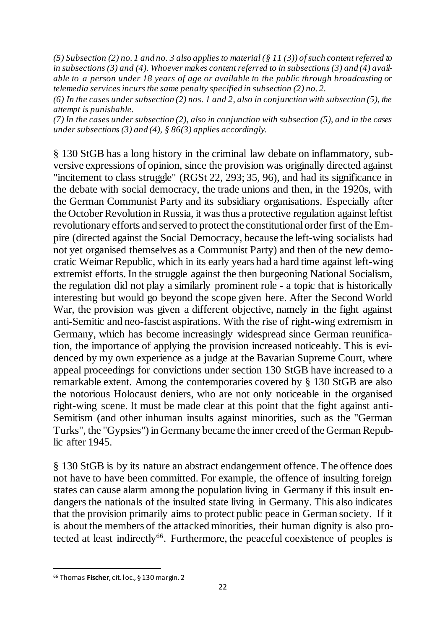*(5) Subsection (2) no. 1 and no. 3 also applies to material (§ 11 (3)) of such content referred to in subsections (3) and (4). Whoever makes content referred to in subsections (3) and (4) available to a person under 18 years of age or available to the public through broadcasting or telemedia services incurs the same penalty specified in subsection (2) no. 2.* 

*(6) In the cases under subsection (2) nos. 1 and 2, also in conjunction with subsection (5), the attempt is punishable.*

*(7) In the cases under subsection (2), also in conjunction with subsection (5), and in the cases under subsections (3) and (4), § 86(3) applies accordingly.*

§ 130 StGB has a long history in the criminal law debate on inflammatory, subversive expressions of opinion, since the provision was originally directed against "incitement to class struggle" (RGSt 22, 293; 35, 96), and had its significance in the debate with social democracy, the trade unions and then, in the 1920s, with the German Communist Party and its subsidiary organisations. Especially after the October Revolution in Russia, it was thus a protective regulation against leftist revolutionary efforts and served to protect the constitutional order first of the Empire (directed against the Social Democracy, because the left-wing socialists had not yet organised themselves as a Communist Party) and then of the new democratic Weimar Republic, which in its early years had a hard time against left-wing extremist efforts. In the struggle against the then burgeoning National Socialism, the regulation did not play a similarly prominent role - a topic that is historically interesting but would go beyond the scope given here. After the Second World War, the provision was given a different objective, namely in the fight against anti-Semitic and neo-fascist aspirations. With the rise of right-wing extremism in Germany, which has become increasingly widespread since German reunification, the importance of applying the provision increased noticeably. This is evidenced by my own experience as a judge at the Bavarian Supreme Court, where appeal proceedings for convictions under section 130 StGB have increased to a remarkable extent. Among the contemporaries covered by § 130 StGB are also the notorious Holocaust deniers, who are not only noticeable in the organised right-wing scene. It must be made clear at this point that the fight against anti-Semitism (and other inhuman insults against minorities, such as the "German Turks", the "Gypsies") in Germany became the inner creed of the German Republic after 1945.

§ 130 StGB is by its nature an abstract endangerment offence. The offence does not have to have been committed. For example, the offence of insulting foreign states can cause alarm among the population living in Germany if this insult endangers the nationals of the insulted state living in Germany. This also indicates that the provision primarily aims to protect public peace in German society. If it is about the members of the attacked minorities, their human dignity is also protected at least indirectly<sup>66</sup>. Furthermore, the peaceful coexistence of peoples is

<sup>66</sup> Thomas **Fischer**, cit. loc., § 130 margin. 2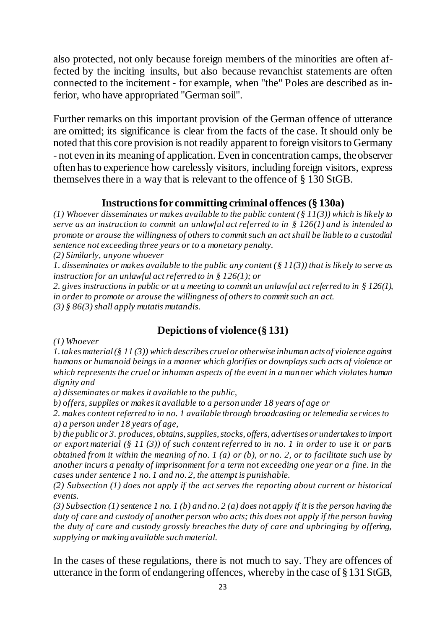also protected, not only because foreign members of the minorities are often affected by the inciting insults, but also because revanchist statements are often connected to the incitement - for example, when "the" Poles are described as inferior, who have appropriated "German soil".

Further remarks on this important provision of the German offence of utterance are omitted; its significance is clear from the facts of the case. It should only be noted that this core provision is not readily apparent to foreign visitors to Germany - not even in its meaning of application. Even in concentration camps, the observer often has to experience how carelessly visitors, including foreign visitors, express themselves there in a way that is relevant to the offence of § 130 StGB.

## **Instructions for committing criminal offences(§ 130a)**

*(1) Whoever disseminates or makes available to the public content (§ 11(3)) which is likely to serve as an instruction to commit an unlawful act referred to in § 126(1) and is intended to promote or arouse the willingness of others to commit such an act shall be liable to a custodial sentence not exceeding three years or to a monetary penalty.*

*(2) Similarly, anyone whoever*

*1. disseminates or makes available to the public any content (§ 11(3)) that is likely to serve as instruction for an unlawful act referred to in § 126(1); or*

*2. gives instructions in public or at a meeting to commit an unlawful act referred to in § 126(1), in order to promote or arouse the willingness of others to commit such an act. (3) § 86(3) shall apply mutatis mutandis.*

# **Depictions of violence (§ 131)**

*(1) Whoever* 

*1. takes material (§ 11 (3)) which describes cruel or otherwise inhuman acts of violence against humans or humanoid beings in a manner which glorifies or downplays such acts of violence or which represents the cruel or inhuman aspects of the event in a manner which violates human dignity and* 

*a) disseminates or makes it available to the public,* 

*b) offers, supplies or makes it available to a person under 18 years of age or* 

*2. makes content referred to in no. 1 available through broadcasting or telemedia se rvices to a) a person under 18 years of age,* 

*b) the public or 3. produces, obtains, supplies, stocks, offers, advertises or undertakes to import or export material (§ 11 (3)) of such content referred to in no. 1 in order to use it or parts obtained from it within the meaning of no. 1 (a) or (b), or no. 2, or to facilitate such use by another incurs a penalty of imprisonment for a term not exceeding one year or a fine. In the cases under sentence 1 no. 1 and no. 2, the attempt is punishable.* 

*(2) Subsection (1) does not apply if the act serves the reporting about current or historical events.* 

*(3) Subsection (1) sentence 1 no. 1 (b) and no. 2 (a) does not apply if it is the person having the duty of care and custody of another person who acts; this does not apply if the person having the duty of care and custody grossly breaches the duty of care and upbringing by offering, supplying or making available such material.*

In the cases of these regulations, there is not much to say. They are offences of utterance in the form of endangering offences, whereby in the case of § 131 StGB,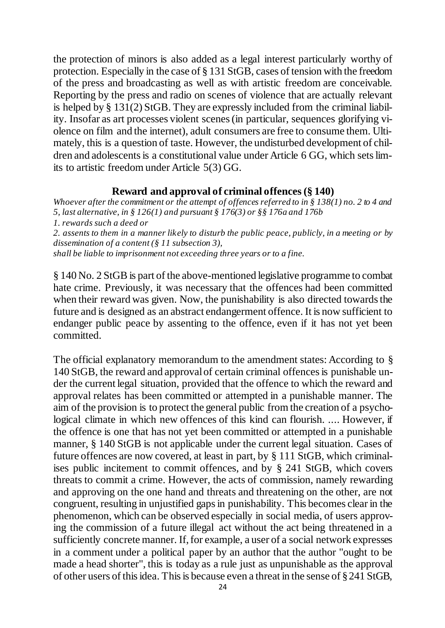the protection of minors is also added as a legal interest particularly worthy of protection. Especially in the case of § 131 StGB, cases of tension with the freedom of the press and broadcasting as well as with artistic freedom are conceivable. Reporting by the press and radio on scenes of violence that are actually relevant is helped by § 131(2) StGB. They are expressly included from the criminal liability. Insofar as art processes violent scenes (in particular, sequences glorifying violence on film and the internet), adult consumers are free to consume them. Ultimately, this is a question of taste. However, the undisturbed development of children and adolescents is a constitutional value under Article 6 GG, which sets limits to artistic freedom under Article 5(3) GG.

#### **Reward and approval of criminal offences(§ 140)**

*Whoever after the commitment or the attempt of offences referred to in § 138(1) no. 2 to 4 and 5, last alternative, in § 126(1) and pursuant § 176(3) or §§ 176a and 176b 1. rewards such a deed or 2. assents to them in a manner likely to disturb the public peace, publicly, in a meeting or by dissemination of a content (§ 11 subsection 3),*

*shall be liable to imprisonment not exceeding three years or to a fine.*

§ 140 No. 2 StGB is part of the above-mentioned legislative programme to combat hate crime. Previously, it was necessary that the offences had been committed when their reward was given. Now, the punishability is also directed towards the future and is designed as an abstract endangerment offence. It is now sufficient to endanger public peace by assenting to the offence, even if it has not yet been committed.

The official explanatory memorandum to the amendment states: According to § 140 StGB, the reward and approval of certain criminal offences is punishable under the current legal situation, provided that the offence to which the reward and approval relates has been committed or attempted in a punishable manner. The aim of the provision is to protect the general public from the creation of a psychological climate in which new offences of this kind can flourish. .... However, if the offence is one that has not yet been committed or attempted in a punishable manner, § 140 StGB is not applicable under the current legal situation. Cases of future offences are now covered, at least in part, by § 111 StGB, which criminalises public incitement to commit offences, and by § 241 StGB, which covers threats to commit a crime. However, the acts of commission, namely rewarding and approving on the one hand and threats and threatening on the other, are not congruent, resulting in unjustified gaps in punishability. This becomes clear in the phenomenon, which can be observed especially in social media, of users approving the commission of a future illegal act without the act being threatened in a sufficiently concrete manner. If, for example, a user of a social network expresses in a comment under a political paper by an author that the author "ought to be made a head shorter", this is today as a rule just as unpunishable as the approval of other users of this idea. This is because even a threat in the sense of § 241 StGB,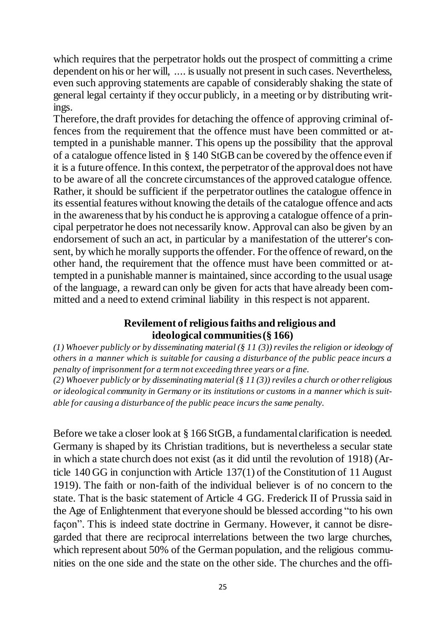which requires that the perpetrator holds out the prospect of committing a crime dependent on his or her will, .... is usually not present in such cases. Nevertheless, even such approving statements are capable of considerably shaking the state of general legal certainty if they occur publicly, in a meeting or by distributing writings.

Therefore, the draft provides for detaching the offence of approving criminal offences from the requirement that the offence must have been committed or attempted in a punishable manner. This opens up the possibility that the approval of a catalogue offence listed in  $\S$  140 StGB can be covered by the offence even if it is a future offence. In this context, the perpetrator of the approval does not have to be aware of all the concrete circumstances of the approved catalogue offence. Rather, it should be sufficient if the perpetrator outlines the catalogue offence in its essential features without knowing the details of the catalogue offence and acts in the awareness that by his conduct he is approving a catalogue offence of a principal perpetrator he does not necessarily know. Approval can also be given by an endorsement of such an act, in particular by a manifestation of the utterer's consent, by which he morally supports the offender. For the offence of reward, on the other hand, the requirement that the offence must have been committed or attempted in a punishable manner is maintained, since according to the usual usage of the language, a reward can only be given for acts that have already been committed and a need to extend criminal liability in this respect is not apparent.

## **Revilement of religious faiths and religious and ideological communities (§ 166)**

*(1) Whoever publicly or by disseminating material (§ 11 (3)) reviles the religion or ideology of others in a manner which is suitable for causing a disturbance of the public peace incurs a penalty of imprisonment for a term not exceeding three years or a fine.*

*(2) Whoever publicly or by disseminating material (§ 11 (3)) reviles a church or other religious or ideological community in Germany or its institutions or customs in a manner which is suitable for causing a disturbance of the public peace incurs the same penalty.*

Before we take a closer look at § 166 StGB, a fundamental clarification is needed. Germany is shaped by its Christian traditions, but is nevertheless a secular state in which a state church does not exist (as it did until the revolution of 1918) (Article 140 GG in conjunction with Article 137(1) of the Constitution of 11 August 1919). The faith or non-faith of the individual believer is of no concern to the state. That is the basic statement of Article 4 GG. Frederick II of Prussia said in the Age of Enlightenment that everyone should be blessed according "to his own façon". This is indeed state doctrine in Germany. However, it cannot be disregarded that there are reciprocal interrelations between the two large churches, which represent about 50% of the German population, and the religious communities on the one side and the state on the other side. The churches and the offi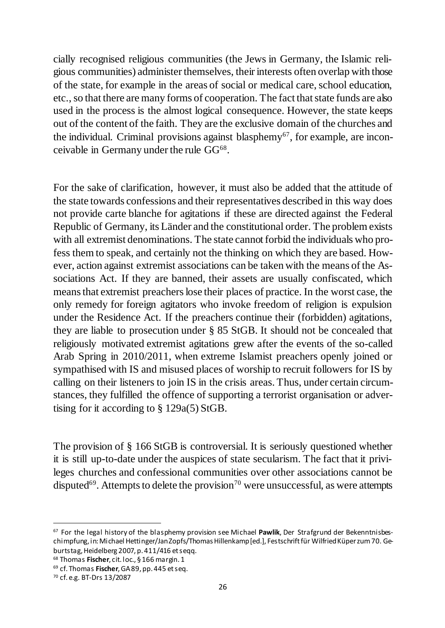cially recognised religious communities (the Jews in Germany, the Islamic religious communities) administer themselves, their interests often overlap with those of the state, for example in the areas of social or medical care, school education, etc., so that there are many forms of cooperation. The fact that state funds are also used in the process is the almost logical consequence. However, the state keeps out of the content of the faith. They are the exclusive domain of the churches and the individual. Criminal provisions against blasphemy<sup>67</sup>, for example, are inconceivable in Germany under the rule  $GG^{68}$ .

For the sake of clarification, however, it must also be added that the attitude of the state towards confessions and their representatives described in this way does not provide carte blanche for agitations if these are directed against the Federal Republic of Germany, its Länder and the constitutional order. The problem exists with all extremist denominations. The state cannot forbid the individuals who profess them to speak, and certainly not the thinking on which they are based. However, action against extremist associations can be taken with the means of the Associations Act. If they are banned, their assets are usually confiscated, which means that extremist preachers lose their places of practice. In the worst case, the only remedy for foreign agitators who invoke freedom of religion is expulsion under the Residence Act. If the preachers continue their (forbidden) agitations, they are liable to prosecution under § 85 StGB. It should not be concealed that religiously motivated extremist agitations grew after the events of the so-called Arab Spring in 2010/2011, when extreme Islamist preachers openly joined or sympathised with IS and misused places of worship to recruit followers for IS by calling on their listeners to join IS in the crisis areas. Thus, under certain circumstances, they fulfilled the offence of supporting a terrorist organisation or advertising for it according to § 129a(5) StGB.

The provision of § 166 StGB is controversial. It is seriously questioned whether it is still up-to-date under the auspices of state secularism. The fact that it privileges churches and confessional communities over other associations cannot be disputed<sup>69</sup>. Attempts to delete the provision<sup>70</sup> were unsuccessful, as were attempts

<sup>68</sup> Thomas **Fischer**, cit. loc., § 166 margin. 1

<sup>69</sup> cf. Thomas **Fischer**, GA 89, pp. 445 et seq.

<sup>67</sup> For the legal history of the blasphemy provision see Michael **Pawlik**, Der Strafgrund der Bekenntnisbeschimpfung, in: Michael Hettinger/Jan Zopfs/Thomas Hillenkamp [ed.], Festschrift für Wilfried Küper zum 70. Geburtstag, Heidelberg 2007, p. 411/416 et seqq.

<sup>70</sup> cf. e.g. BT-Drs 13/2087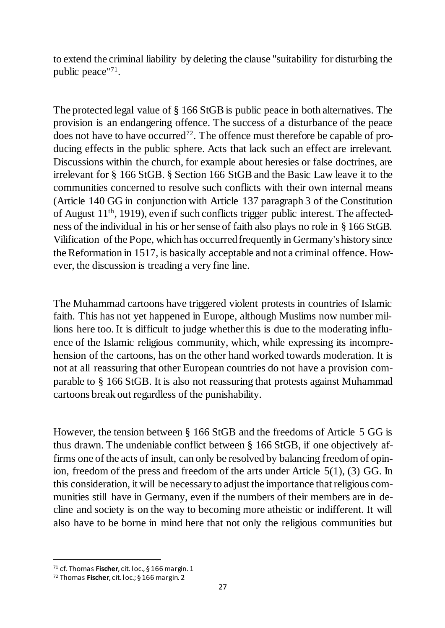to extend the criminal liability by deleting the clause "suitability for disturbing the public peace"<sup>71</sup> .

The protected legal value of § 166 StGB is public peace in both alternatives. The provision is an endangering offence. The success of a disturbance of the peace does not have to have occurred<sup>72</sup>. The offence must therefore be capable of producing effects in the public sphere. Acts that lack such an effect are irrelevant. Discussions within the church, for example about heresies or false doctrines, are irrelevant for § 166 StGB. § Section 166 StGBand the Basic Law leave it to the communities concerned to resolve such conflicts with their own internal means (Article 140 GG in conjunction with Article 137 paragraph 3 of the Constitution of August 11th, 1919), even if such conflicts trigger public interest. The affectedness of the individual in his or her sense of faith also plays no role in § 166 StGB. Vilification of the Pope, which has occurred frequently in Germany's history since the Reformation in 1517, is basically acceptable and not a criminal offence. However, the discussion is treading a very fine line.

The Muhammad cartoons have triggered violent protests in countries of Islamic faith. This has not yet happened in Europe, although Muslims now number millions here too. It is difficult to judge whether this is due to the moderating influence of the Islamic religious community, which, while expressing its incomprehension of the cartoons, has on the other hand worked towards moderation. It is not at all reassuring that other European countries do not have a provision comparable to § 166 StGB. It is also not reassuring that protests against Muhammad cartoons break out regardless of the punishability.

However, the tension between § 166 StGB and the freedoms of Article 5 GG is thus drawn. The undeniable conflict between § 166 StGB, if one objectively affirms one of the acts of insult, can only be resolved by balancing freedom of opinion, freedom of the press and freedom of the arts under Article 5(1), (3) GG. In this consideration, it will be necessary to adjust the importance that religious communities still have in Germany, even if the numbers of their members are in decline and society is on the way to becoming more atheistic or indifferent. It will also have to be borne in mind here that not only the religious communities but

<sup>71</sup> cf. Thomas **Fischer**, cit. loc., § 166 margin. 1

<sup>72</sup> Thomas **Fischer**, cit. loc.; § 166 margin. 2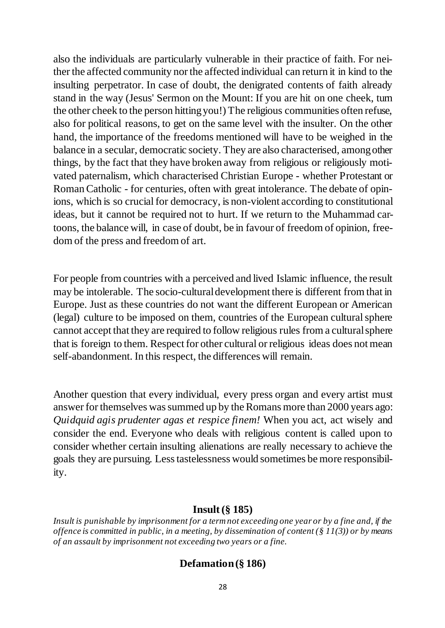also the individuals are particularly vulnerable in their practice of faith. For neither the affected community nor the affected individual can return it in kind to the insulting perpetrator. In case of doubt, the denigrated contents of faith already stand in the way (Jesus' Sermon on the Mount: If you are hit on one cheek, turn the other cheek to the person hitting you!) The religious communities often refuse, also for political reasons, to get on the same level with the insulter. On the other hand, the importance of the freedoms mentioned will have to be weighed in the balance in a secular, democratic society. They are also characterised, among other things, by the fact that they have broken away from religious or religiously motivated paternalism, which characterised Christian Europe - whether Protestant or Roman Catholic - for centuries, often with great intolerance. The debate of opinions, which is so crucial for democracy, is non-violent according to constitutional ideas, but it cannot be required not to hurt. If we return to the Muhammad cartoons, the balance will, in case of doubt, be in favour of freedom of opinion, freedom of the press and freedom of art.

For people from countries with a perceived and lived Islamic influence, the result may be intolerable. The socio-cultural development there is different from that in Europe. Just as these countries do not want the different European or American (legal) culture to be imposed on them, countries of the European cultural sphere cannot accept that they are required to follow religious rules from a cultural sphere that is foreign to them. Respect for other cultural or religious ideas does not mean self-abandonment. In this respect, the differences will remain.

Another question that every individual, every press organ and every artist must answer for themselves was summed up by the Romans more than 2000 years ago: *Quidquid agis prudenter agas et respice finem!* When you act, act wisely and consider the end. Everyone who deals with religious content is called upon to consider whether certain insulting alienations are really necessary to achieve the goals they are pursuing. Less tastelessness would sometimes be more responsibility.

## **Insult (§ 185)**

*Insult is punishable by imprisonment for a term not exceeding one year or by a fine and, if the offence is committed in public, in a meeting, by dissemination of content (§ 11(3)) or by means of an assault by imprisonment not exceeding two years or a fine.*

# **Defamation(§ 186)**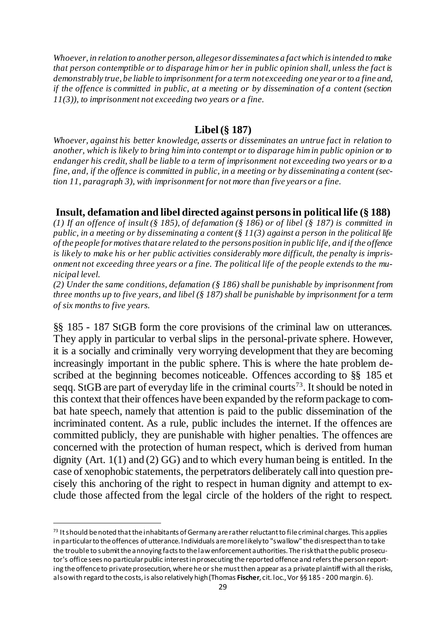*Whoever, in relation to another person, alleges or disseminates a fact which is intended to make that person contemptible or to disparage him or her in public opinion shall, unless the fact is demonstrably true, be liable to imprisonment for a term not exceeding one year or to a fine and, if the offence is committed in public, at a meeting or by dissemination of a content (section 11(3)), to imprisonment not exceeding two years or a fine.*

#### **Libel(§ 187)**

*Whoever, against his better knowledge, asserts or disseminates an untrue fact in relation to another, which is likely to bring him into contempt or to disparage him in public opinion or to endanger his credit, shall be liable to a term of imprisonment not exceeding two years or to a fine, and, if the offence is committed in public, in a meeting or by disseminating a content (section 11, paragraph 3), with imprisonment for not more than five years or a fine.*

#### **Insult, defamation and libel directed against persons in political life (§ 188)**

*(1) If an offence of insult (§ 185), of defamation (§ 186) or of libel (§ 187) is committed in public, in a meeting or by disseminating a content (§ 11(3) against a person in the political life of the people for motives that are related to the persons position in public life, and if the offence is likely to make his or her public activities considerably more difficult, the penalty is imprisonment not exceeding three years or a fine. The political life of the people extends to the municipal level.*

*(2) Under the same conditions, defamation (§ 186) shall be punishable by imprisonment from three months up to five years, and libel (§ 187) shall be punishable by imprisonment for a term of six months to five years.*

§§ 185 - 187 StGB form the core provisions of the criminal law on utterances. They apply in particular to verbal slips in the personal-private sphere. However, it is a socially and criminally very worrying development that they are becoming increasingly important in the public sphere. This is where the hate problem described at the beginning becomes noticeable. Offences according to §§ 185 et seqq. StGB are part of everyday life in the criminal courts<sup>73</sup>. It should be noted in this context that their offences have been expanded by the reform package to combat hate speech, namely that attention is paid to the public dissemination of the incriminated content. As a rule, public includes the internet. If the offences are committed publicly, they are punishable with higher penalties. The offences are concerned with the protection of human respect, which is derived from human dignity (Art. 1(1) and (2) GG) and to which every human being is entitled. In the case of xenophobic statements, the perpetrators deliberately call into question precisely this anchoring of the right to respect in human dignity and attempt to exclude those affected from the legal circle of the holders of the right to respect.

 $73$  It should be noted that the inhabitants of Germany are rather reluctant to file criminal charges. This applies in particular to the offences of utterance. Individuals are more likely to "swallow" the disrespect than to take the trouble to submit the annoying facts to the law enforcement authorities. The risk that the public prosecutor's office sees no particular public interest in prosecuting the reported offence and refers the person reporting the offence to private prosecution, where he or she must then appear as a private plaintiff with all the risks, also with regard to the costs, is also relatively high (Thomas **Fischer**, cit. loc., Vor §§ 185 - 200 margin. 6).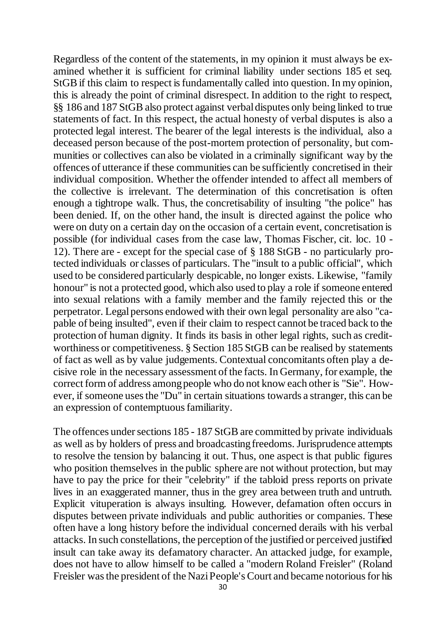Regardless of the content of the statements, in my opinion it must always be examined whether it is sufficient for criminal liability under sections 185 et seq. StGB if this claim to respect is fundamentally called into question. In my opinion, this is already the point of criminal disrespect. In addition to the right to respect, §§ 186 and 187 StGB also protect against verbal disputes only being linked to true statements of fact. In this respect, the actual honesty of verbal disputes is also a protected legal interest. The bearer of the legal interests is the individual, also a deceased person because of the post-mortem protection of personality, but communities or collectives can also be violated in a criminally significant way by the offences of utterance if these communities can be sufficiently concretised in their individual composition. Whether the offender intended to affect all members of the collective is irrelevant. The determination of this concretisation is often enough a tightrope walk. Thus, the concretisability of insulting "the police" has been denied. If, on the other hand, the insult is directed against the police who were on duty on a certain day on the occasion of a certain event, concretisation is possible (for individual cases from the case law, Thomas Fischer, cit. loc. 10 - 12). There are - except for the special case of § 188 StGB - no particularly protected individuals or classes of particulars. The "insult to a public official", which used to be considered particularly despicable, no longer exists. Likewise, "family honour" is not a protected good, which also used to play a role if someone entered into sexual relations with a family member and the family rejected this or the perpetrator. Legalpersons endowed with their own legal personality are also "capable of being insulted", even if their claim to respect cannot be traced back to the protection of human dignity. It finds its basis in other legal rights, such as creditworthiness or competitiveness. § Section 185 StGB can be realised by statements of fact as well as by value judgements. Contextual concomitants often play a decisive role in the necessary assessment of the facts. In Germany, for example, the correct form of address among people who do not know each other is "Sie". However, if someone uses the "Du" in certain situations towards a stranger, this can be an expression of contemptuous familiarity.

The offences under sections 185 - 187 StGB are committed by private individuals as well as by holders of press and broadcasting freedoms. Jurisprudence attempts to resolve the tension by balancing it out. Thus, one aspect is that public figures who position themselves in the public sphere are not without protection, but may have to pay the price for their "celebrity" if the tabloid press reports on private lives in an exaggerated manner, thus in the grey area between truth and untruth. Explicit vituperation is always insulting. However, defamation often occurs in disputes between private individuals and public authorities or companies. These often have a long history before the individual concerned derails with his verbal attacks. In such constellations, the perception of the justified or perceived justified insult can take away its defamatory character. An attacked judge, for example, does not have to allow himself to be called a "modern Roland Freisler" (Roland Freisler was the president of the Nazi People's Court and became notorious for his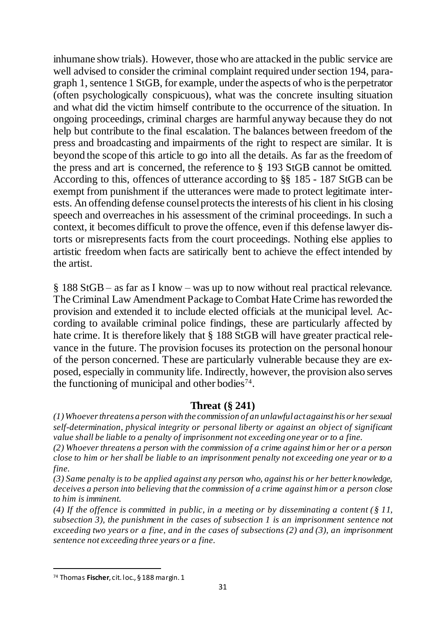inhumane show trials). However, those who are attacked in the public service are well advised to consider the criminal complaint required under section 194, paragraph 1, sentence 1 StGB, for example, under the aspects of who is the perpetrator (often psychologically conspicuous), what was the concrete insulting situation and what did the victim himself contribute to the occurrence of the situation. In ongoing proceedings, criminal charges are harmful anyway because they do not help but contribute to the final escalation. The balances between freedom of the press and broadcasting and impairments of the right to respect are similar. It is beyond the scope of this article to go into all the details. As far as the freedom of the press and art is concerned, the reference to § 193 StGB cannot be omitted. According to this, offences of utterance according to §§ 185 - 187 StGB can be exempt from punishment if the utterances were made to protect legitimate interests. An offending defense counselprotects the interests of his client in his closing speech and overreaches in his assessment of the criminal proceedings. In such a context, it becomes difficult to prove the offence, even if this defense lawyer distorts or misrepresents facts from the court proceedings. Nothing else applies to artistic freedom when facts are satirically bent to achieve the effect intended by the artist.

§ 188 StGB – as far as I know – was up to now without real practical relevance. The Criminal Law Amendment Package to Combat Hate Crime has reworded the provision and extended it to include elected officials at the municipal level. According to available criminal police findings, these are particularly affected by hate crime. It is therefore likely that § 188 StGB will have greater practical relevance in the future. The provision focuses its protection on the personal honour of the person concerned. These are particularly vulnerable because they are exposed, especially in community life. Indirectly, however, the provision also serves the functioning of municipal and other bodies<sup>74</sup>.

## **Threat (§ 241)**

*(1) Whoever threatens a person with the commission of an unlawful act against his or her sexual self-determination, physical integrity or personal liberty or against an object of significant value shall be liable to a penalty of imprisonment not exceeding one year or to a fine.* 

*(2) Whoever threatens a person with the commission of a crime against him or her or a person close to him or her shall be liable to an imprisonment penalty not exceeding one year or to a fine.*

*(3) Same penalty is to be applied against any person who, against his or her better knowledge, deceives a person into believing that the commission of a crime against him or a person close to him is imminent.*

*(4) If the offence is committed in public, in a meeting or by disseminating a content (§ 11, subsection 3), the punishment in the cases of subsection 1 is an imprisonment sentence not exceeding two years or a fine, and in the cases of subsections (2) and (3), an imprisonment sentence not exceeding three years or a fine.*

<sup>74</sup> Thomas **Fischer**, cit. loc., § 188 margin. 1